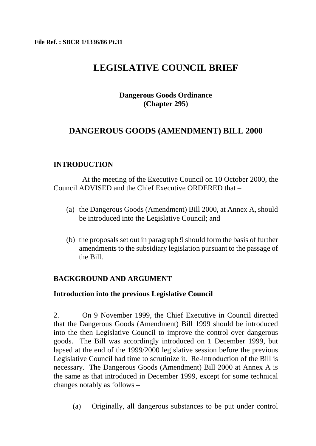# **LEGISLATIVE COUNCIL BRIEF**

# **Dangerous Goods Ordinance (Chapter 295)**

# **DANGEROUS GOODS (AMENDMENT) BILL 2000**

# **INTRODUCTION**

At the meeting of the Executive Council on 10 October 2000, the Council ADVISED and the Chief Executive ORDERED that –

- (a) the Dangerous Goods (Amendment) Bill 2000, at Annex A, should be introduced into the Legislative Council; and
- (b) the proposals set out in paragraph 9 should form the basis of further amendments to the subsidiary legislation pursuant to the passage of the Bill.

# **BACKGROUND AND ARGUMENT**

# **Introduction into the previous Legislative Council**

2. On 9 November 1999, the Chief Executive in Council directed that the Dangerous Goods (Amendment) Bill 1999 should be introduced into the then Legislative Council to improve the control over dangerous goods. The Bill was accordingly introduced on 1 December 1999, but lapsed at the end of the 1999/2000 legislative session before the previous Legislative Council had time to scrutinize it. Re-introduction of the Bill is necessary. The Dangerous Goods (Amendment) Bill 2000 at Annex A is the same as that introduced in December 1999, except for some technical changes notably as follows –

(a) Originally, all dangerous substances to be put under control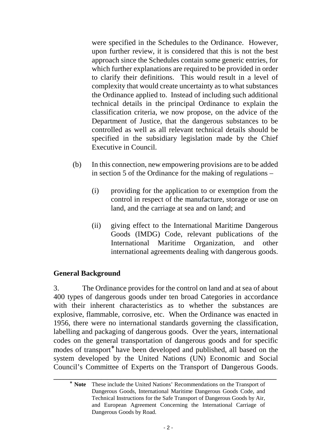were specified in the Schedules to the Ordinance. However, upon further review, it is considered that this is not the best approach since the Schedules contain some generic entries, for which further explanations are required to be provided in order to clarify their definitions. This would result in a level of complexity that would create uncertainty as to what substances the Ordinance applied to. Instead of including such additional technical details in the principal Ordinance to explain the classification criteria, we now propose, on the advice of the Department of Justice, that the dangerous substances to be controlled as well as all relevant technical details should be specified in the subsidiary legislation made by the Chief Executive in Council.

- (b) In this connection, new empowering provisions are to be added in section 5 of the Ordinance for the making of regulations –
	- (i) providing for the application to or exemption from the control in respect of the manufacture, storage or use on land, and the carriage at sea and on land; and
	- (ii) giving effect to the International Maritime Dangerous Goods (IMDG) Code, relevant publications of the International Maritime Organization, and other international agreements dealing with dangerous goods.

# **General Background**

3. The Ordinance provides for the control on land and at sea of about 400 types of dangerous goods under ten broad Categories in accordance with their inherent characteristics as to whether the substances are explosive, flammable, corrosive, etc. When the Ordinance was enacted in 1956, there were no international standards governing the classification, labelling and packaging of dangerous goods. Over the years, international codes on the general transportation of dangerous goods and for specific modes of transport<sup>\*</sup> have been developed and published, all based on the system developed by the United Nations (UN) Economic and Social Council's Committee of Experts on the Transport of Dangerous Goods.

\_\_\_\_\_\_\_\_\_\_\_\_\_\_\_\_\_\_\_\_\_\_\_\_\_\_\_\_\_\_\_\_\_\_\_\_\_\_\_\_\_\_\_\_\_\_\_\_\_\_\_\_\_\_\_\_\_\_\_\_\_\_\_\_\_\_\_\_\_\_

<sup>∗</sup> **Note** These include the United Nations' Recommendations on the Transport of Dangerous Goods, International Maritime Dangerous Goods Code, and Technical Instructions for the Safe Transport of Dangerous Goods by Air, and European Agreement Concerning the International Carriage of Dangerous Goods by Road.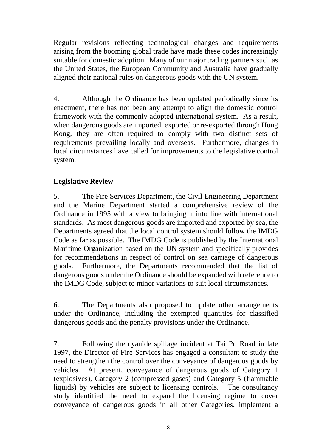Regular revisions reflecting technological changes and requirements arising from the booming global trade have made these codes increasingly suitable for domestic adoption. Many of our major trading partners such as the United States, the European Community and Australia have gradually aligned their national rules on dangerous goods with the UN system.

4. Although the Ordinance has been updated periodically since its enactment, there has not been any attempt to align the domestic control framework with the commonly adopted international system. As a result, when dangerous goods are imported, exported or re-exported through Hong Kong, they are often required to comply with two distinct sets of requirements prevailing locally and overseas. Furthermore, changes in local circumstances have called for improvements to the legislative control system.

# **Legislative Review**

5. The Fire Services Department, the Civil Engineering Department and the Marine Department started a comprehensive review of the Ordinance in 1995 with a view to bringing it into line with international standards. As most dangerous goods are imported and exported by sea, the Departments agreed that the local control system should follow the IMDG Code as far as possible. The IMDG Code is published by the International Maritime Organization based on the UN system and specifically provides for recommendations in respect of control on sea carriage of dangerous goods. Furthermore, the Departments recommended that the list of dangerous goods under the Ordinance should be expanded with reference to the IMDG Code, subject to minor variations to suit local circumstances.

6. The Departments also proposed to update other arrangements under the Ordinance, including the exempted quantities for classified dangerous goods and the penalty provisions under the Ordinance.

7. Following the cyanide spillage incident at Tai Po Road in late 1997, the Director of Fire Services has engaged a consultant to study the need to strengthen the control over the conveyance of dangerous goods by vehicles. At present, conveyance of dangerous goods of Category 1 (explosives), Category 2 (compressed gases) and Category 5 (flammable liquids) by vehicles are subject to licensing controls. The consultancy study identified the need to expand the licensing regime to cover conveyance of dangerous goods in all other Categories, implement a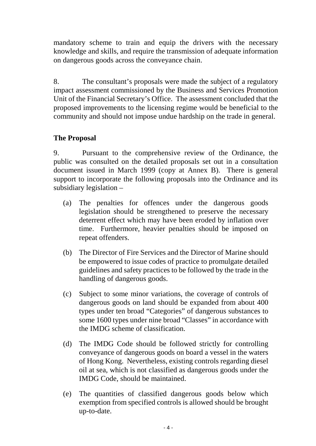mandatory scheme to train and equip the drivers with the necessary knowledge and skills, and require the transmission of adequate information on dangerous goods across the conveyance chain.

8. The consultant's proposals were made the subject of a regulatory impact assessment commissioned by the Business and Services Promotion Unit of the Financial Secretary's Office. The assessment concluded that the proposed improvements to the licensing regime would be beneficial to the community and should not impose undue hardship on the trade in general.

# **The Proposal**

9. Pursuant to the comprehensive review of the Ordinance, the public was consulted on the detailed proposals set out in a consultation document issued in March 1999 (copy at Annex B). There is general support to incorporate the following proposals into the Ordinance and its subsidiary legislation –

- (a) The penalties for offences under the dangerous goods legislation should be strengthened to preserve the necessary deterrent effect which may have been eroded by inflation over time. Furthermore, heavier penalties should be imposed on repeat offenders.
- (b) The Director of Fire Services and the Director of Marine should be empowered to issue codes of practice to promulgate detailed guidelines and safety practices to be followed by the trade in the handling of dangerous goods.
- (c) Subject to some minor variations, the coverage of controls of dangerous goods on land should be expanded from about 400 types under ten broad "Categories" of dangerous substances to some 1600 types under nine broad "Classes" in accordance with the IMDG scheme of classification.
- (d) The IMDG Code should be followed strictly for controlling conveyance of dangerous goods on board a vessel in the waters of Hong Kong. Nevertheless, existing controls regarding diesel oil at sea, which is not classified as dangerous goods under the IMDG Code, should be maintained.
- (e) The quantities of classified dangerous goods below which exemption from specified controls is allowed should be brought up-to-date.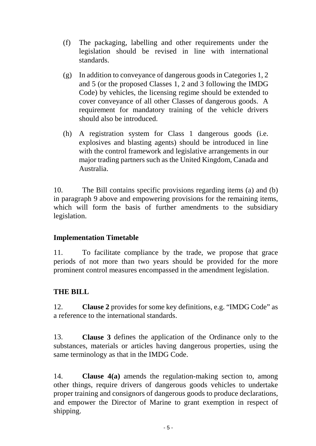- (f) The packaging, labelling and other requirements under the legislation should be revised in line with international standards.
- (g) In addition to conveyance of dangerous goods in Categories 1, 2 and 5 (or the proposed Classes 1, 2 and 3 following the IMDG Code) by vehicles, the licensing regime should be extended to cover conveyance of all other Classes of dangerous goods. A requirement for mandatory training of the vehicle drivers should also be introduced.
- (h) A registration system for Class 1 dangerous goods (i.e. explosives and blasting agents) should be introduced in line with the control framework and legislative arrangements in our major trading partners such as the United Kingdom, Canada and Australia.

10. The Bill contains specific provisions regarding items (a) and (b) in paragraph 9 above and empowering provisions for the remaining items, which will form the basis of further amendments to the subsidiary legislation.

# **Implementation Timetable**

11. To facilitate compliance by the trade, we propose that grace periods of not more than two years should be provided for the more prominent control measures encompassed in the amendment legislation.

# **THE BILL**

12. **Clause 2** provides for some key definitions, e.g. "IMDG Code" as a reference to the international standards.

13. **Clause 3** defines the application of the Ordinance only to the substances, materials or articles having dangerous properties, using the same terminology as that in the IMDG Code.

14. **Clause 4(a)** amends the regulation-making section to, among other things, require drivers of dangerous goods vehicles to undertake proper training and consignors of dangerous goods to produce declarations, and empower the Director of Marine to grant exemption in respect of shipping.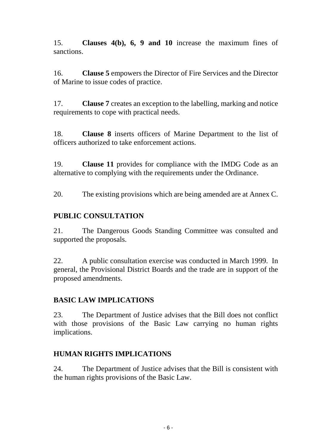15. **Clauses 4(b), 6, 9 and 10** increase the maximum fines of sanctions.

16. **Clause 5** empowers the Director of Fire Services and the Director of Marine to issue codes of practice.

17. **Clause 7** creates an exception to the labelling, marking and notice requirements to cope with practical needs.

18. **Clause 8** inserts officers of Marine Department to the list of officers authorized to take enforcement actions.

19. **Clause 11** provides for compliance with the IMDG Code as an alternative to complying with the requirements under the Ordinance.

20. The existing provisions which are being amended are at Annex C.

# **PUBLIC CONSULTATION**

21. The Dangerous Goods Standing Committee was consulted and supported the proposals.

22. A public consultation exercise was conducted in March 1999. In general, the Provisional District Boards and the trade are in support of the proposed amendments.

# **BASIC LAW IMPLICATIONS**

23. The Department of Justice advises that the Bill does not conflict with those provisions of the Basic Law carrying no human rights implications.

# **HUMAN RIGHTS IMPLICATIONS**

24. The Department of Justice advises that the Bill is consistent with the human rights provisions of the Basic Law.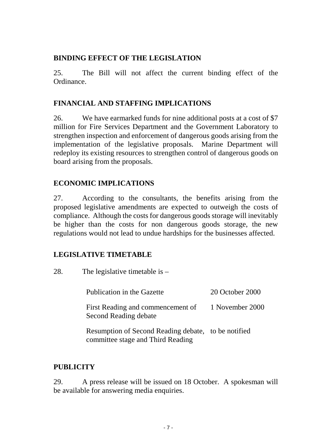# **BINDING EFFECT OF THE LEGISLATION**

25. The Bill will not affect the current binding effect of the Ordinance.

# **FINANCIAL AND STAFFING IMPLICATIONS**

26. We have earmarked funds for nine additional posts at a cost of \$7 million for Fire Services Department and the Government Laboratory to strengthen inspection and enforcement of dangerous goods arising from the implementation of the legislative proposals. Marine Department will redeploy its existing resources to strengthen control of dangerous goods on board arising from the proposals.

# **ECONOMIC IMPLICATIONS**

27. According to the consultants, the benefits arising from the proposed legislative amendments are expected to outweigh the costs of compliance. Although the costs for dangerous goods storage will inevitably be higher than the costs for non dangerous goods storage, the new regulations would not lead to undue hardships for the businesses affected.

# **LEGISLATIVE TIMETABLE**

28. The legislative timetable is –

| Publication in the Gazette                                                               | 20 October 2000 |
|------------------------------------------------------------------------------------------|-----------------|
| First Reading and commencement of 1 November 2000<br>Second Reading debate               |                 |
| Resumption of Second Reading debate, to be notified<br>committee stage and Third Reading |                 |

# **PUBLICITY**

29. A press release will be issued on 18 October. A spokesman will be available for answering media enquiries.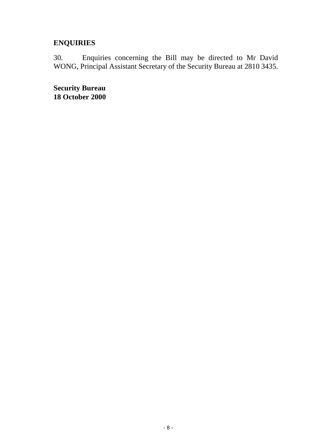# **ENQUIRIES**

30. Enquiries concerning the Bill may be directed to Mr David WONG, Principal Assistant Secretary of the Security Bureau at 2810 3435.

**Security Bureau 18 October 2000**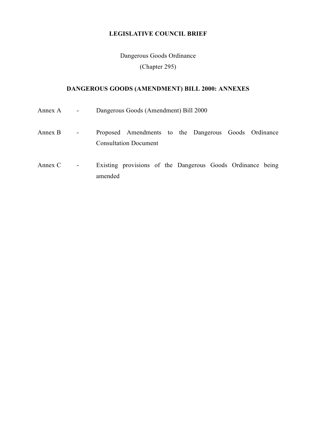# **LEGISLATIVE COUNCIL BRIEF**

Dangerous Goods Ordinance

(Chapter 295)

# **DANGEROUS GOODS (AMENDMENT) BILL 2000: ANNEXES**

| Annex A   | $\blacksquare$               | Dangerous Goods (Amendment) Bill 2000                                                |  |  |  |  |
|-----------|------------------------------|--------------------------------------------------------------------------------------|--|--|--|--|
| Annex B   | $\qquad \qquad \blacksquare$ | Proposed Amendments to the Dangerous Goods Ordinance<br><b>Consultation Document</b> |  |  |  |  |
| Annex $C$ | $\qquad \qquad \blacksquare$ | Existing provisions of the Dangerous Goods Ordinance being<br>amended                |  |  |  |  |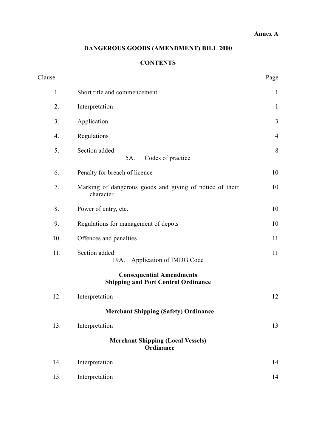## **Annex A**

# **DANGEROUS GOODS (AMENDMENT) BILL 2000**

# **CONTENTS**

| Clause           |                                                                               | Page           |
|------------------|-------------------------------------------------------------------------------|----------------|
| 1.               | Short title and commencement                                                  | $\mathbf{1}$   |
| 2.               | Interpretation                                                                | $\mathbf{1}$   |
| 3.               | Application                                                                   | $\mathfrak{Z}$ |
| $\overline{4}$ . | Regulations                                                                   | $\overline{4}$ |
| 5.               | Section added<br>Codes of practice<br>5A.                                     | 8              |
| 6.               | Penalty for breach of licence                                                 | 10             |
| 7.               | Marking of dangerous goods and giving of notice of their<br>character         | 10             |
| 8.               | Power of entry, etc.                                                          | 10             |
| 9.               | Regulations for management of depots                                          | 10             |
| 10.              | Offences and penalties                                                        | 11             |
| 11.              | Section added<br>Application of IMDG Code<br>19A.                             | 11             |
|                  | <b>Consequential Amendments</b><br><b>Shipping and Port Control Ordinance</b> |                |
| 12.              | Interpretation                                                                | 12             |
|                  | <b>Merchant Shipping (Safety) Ordinance</b>                                   |                |
| 13.              | Interpretation                                                                | 13             |
|                  | <b>Merchant Shipping (Local Vessels)</b><br>Ordinance                         |                |
| 14.              | Interpretation                                                                | 14             |
| 15.              | Interpretation                                                                | 14             |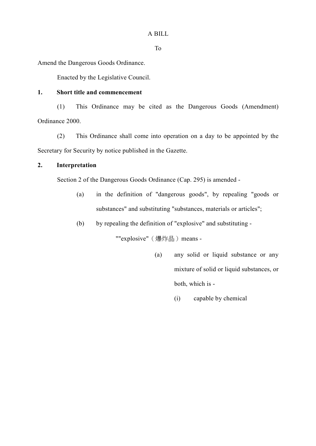To

Amend the Dangerous Goods Ordinance.

Enacted by the Legislative Council.

## **1. Short title and commencement**

(1) This Ordinance may be cited as the Dangerous Goods (Amendment) Ordinance 2000.

(2) This Ordinance shall come into operation on a day to be appointed by the Secretary for Security by notice published in the Gazette.

## **2. Interpretation**

Section 2 of the Dangerous Goods Ordinance (Cap. 295) is amended -

- (a) in the definition of "dangerous goods", by repealing "goods or substances" and substituting "substances, materials or articles";
- (b) by repealing the definition of "explosive" and substituting -

""explosive"(爆炸品)means -

- (a) any solid or liquid substance or any mixture of solid or liquid substances, or both, which is -
	- (i) capable by chemical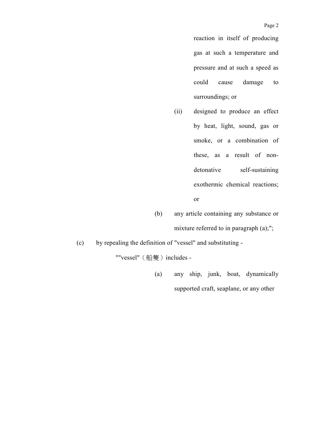reaction in itself of producing gas at such a temperature and pressure and at such a speed as could cause damage to surroundings; or

- (ii) designed to produce an effect by heat, light, sound, gas or smoke, or a combination of these, as a result of nondetonative self-sustaining exothermic chemical reactions; or
- (b) any article containing any substance or mixture referred to in paragraph (a);";
- (c) by repealing the definition of "vessel" and substituting -

""vessel" (船隻) includes -

(a) any ship, junk, boat, dynamically supported craft, seaplane, or any other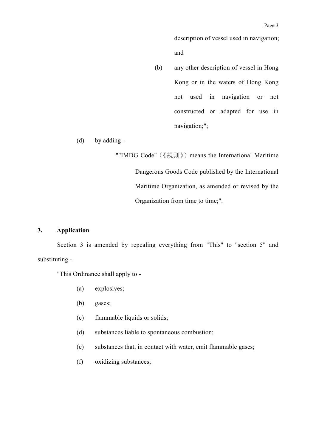description of vessel used in navigation; and

(b) any other description of vessel in Hong Kong or in the waters of Hong Kong not used in navigation or not constructed or adapted for use in navigation;";

(d) by adding -

""IMDG Code"(《規則》)means the International Maritime Dangerous Goods Code published by the International Maritime Organization, as amended or revised by the Organization from time to time;".

## **3. Application**

Section 3 is amended by repealing everything from "This" to "section 5" and substituting -

"This Ordinance shall apply to -

- (a) explosives;
- (b) gases;
- (c) flammable liquids or solids;
- (d) substances liable to spontaneous combustion;
- (e) substances that, in contact with water, emit flammable gases;
- (f) oxidizing substances;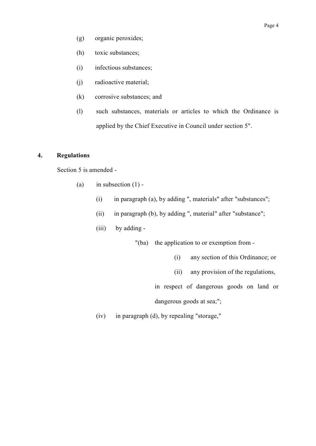- (g) organic peroxides;
- (h) toxic substances;
- (i) infectious substances;
- (j) radioactive material;
- (k) corrosive substances; and
- (l) such substances, materials or articles to which the Ordinance is applied by the Chief Executive in Council under section 5".

## **4. Regulations**

Section 5 is amended -

- (a) in subsection  $(1)$  -
	- (i) in paragraph (a), by adding ", materials" after "substances";
	- (ii) in paragraph (b), by adding ", material" after "substance";
	- (iii) by adding -

"(ba) the application to or exemption from -

- (i) any section of this Ordinance; or
- (ii) any provision of the regulations,
- in respect of dangerous goods on land or

dangerous goods at sea;";

(iv) in paragraph (d), by repealing "storage,"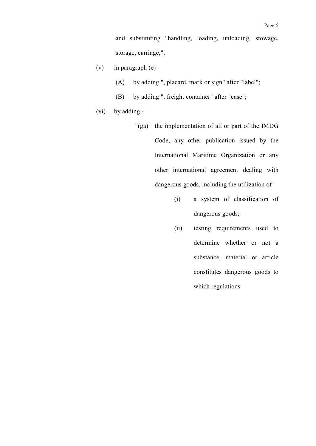- (v) in paragraph  $(e)$  -
	- (A) by adding ", placard, mark or sign" after "label";
	- (B) by adding ", freight container" after "case";
- (vi) by adding
	- "(ga) the implementation of all or part of the IMDG Code, any other publication issued by the International Maritime Organization or any other international agreement dealing with dangerous goods, including the utilization of -
		- (i) a system of classification of dangerous goods;
		- (ii) testing requirements used to determine whether or not a substance, material or article constitutes dangerous goods to which regulations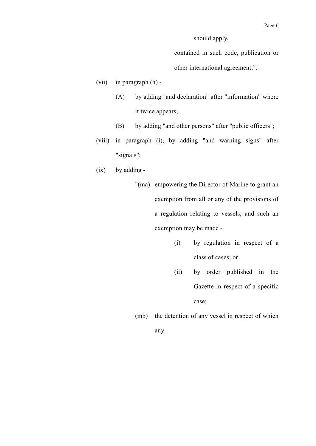should apply,

contained in such code, publication or other international agreement;".

- (vii) in paragraph (h)
	- (A) by adding "and declaration" after "information" where it twice appears;
	- (B) by adding "and other persons" after "public officers";
- (viii) in paragraph (i), by adding "and warning signs" after "signals";
- (ix) by adding
	- "(ma) empowering the Director of Marine to grant an exemption from all or any of the provisions of a regulation relating to vessels, and such an exemption may be made -
		- (i) by regulation in respect of a class of cases; or
		- (ii) by order published in the Gazette in respect of a specific case;
	- (mb) the detention of any vessel in respect of which

any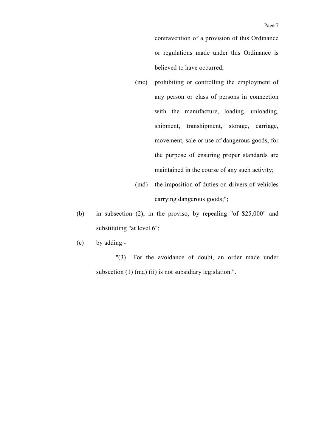contravention of a provision of this Ordinance or regulations made under this Ordinance is believed to have occurred;

- (mc) prohibiting or controlling the employment of any person or class of persons in connection with the manufacture, loading, unloading, shipment, transhipment, storage, carriage, movement, sale or use of dangerous goods, for the purpose of ensuring proper standards are maintained in the course of any such activity;
- (md) the imposition of duties on drivers of vehicles carrying dangerous goods;";
- (b) in subsection (2), in the proviso, by repealing "of \$25,000" and substituting "at level 6";
- (c) by adding -

"(3) For the avoidance of doubt, an order made under subsection (1) (ma) (ii) is not subsidiary legislation.".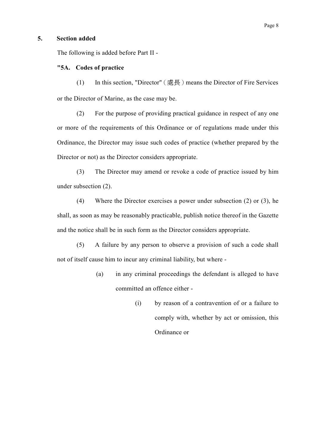## **5. Section added**

The following is added before Part II -

## **"5A. Codes of practice**

(1) In this section, "Director"(處長)means the Director of Fire Services or the Director of Marine, as the case may be.

(2) For the purpose of providing practical guidance in respect of any one or more of the requirements of this Ordinance or of regulations made under this Ordinance, the Director may issue such codes of practice (whether prepared by the Director or not) as the Director considers appropriate.

(3) The Director may amend or revoke a code of practice issued by him under subsection (2).

(4) Where the Director exercises a power under subsection (2) or (3), he shall, as soon as may be reasonably practicable, publish notice thereof in the Gazette and the notice shall be in such form as the Director considers appropriate.

(5) A failure by any person to observe a provision of such a code shall not of itself cause him to incur any criminal liability, but where -

- (a) in any criminal proceedings the defendant is alleged to have committed an offence either -
	- (i) by reason of a contravention of or a failure to comply with, whether by act or omission, this Ordinance or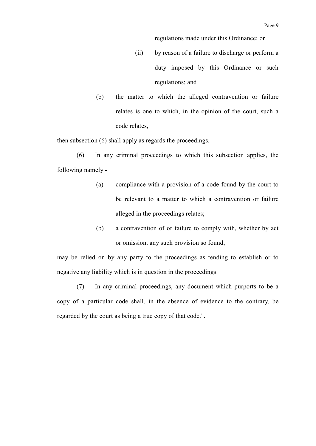regulations made under this Ordinance; or

- (ii) by reason of a failure to discharge or perform a duty imposed by this Ordinance or such regulations; and
- (b) the matter to which the alleged contravention or failure relates is one to which, in the opinion of the court, such a code relates,

then subsection (6) shall apply as regards the proceedings.

(6) In any criminal proceedings to which this subsection applies, the following namely -

- (a) compliance with a provision of a code found by the court to be relevant to a matter to which a contravention or failure alleged in the proceedings relates;
- (b) a contravention of or failure to comply with, whether by act or omission, any such provision so found,

may be relied on by any party to the proceedings as tending to establish or to negative any liability which is in question in the proceedings.

(7) In any criminal proceedings, any document which purports to be a copy of a particular code shall, in the absence of evidence to the contrary, be regarded by the court as being a true copy of that code.".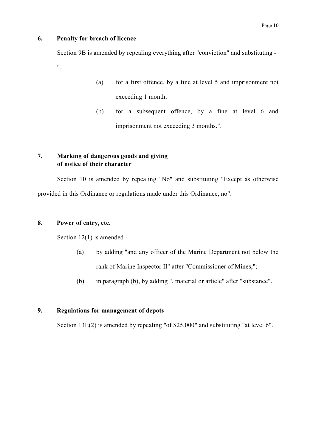## **6. Penalty for breach of licence**

Section 9B is amended by repealing everything after "conviction" and substituting -  $"$ 

- (a) for a first offence, by a fine at level 5 and imprisonment not exceeding 1 month;
- (b) for a subsequent offence, by a fine at level 6 and imprisonment not exceeding 3 months.".

## **7. Marking of dangerous goods and giving of notice of their character**

Section 10 is amended by repealing "No" and substituting "Except as otherwise provided in this Ordinance or regulations made under this Ordinance, no".

## **8. Power of entry, etc.**

Section 12(1) is amended -

- (a) by adding "and any officer of the Marine Department not below the rank of Marine Inspector II" after "Commissioner of Mines,";
- (b) in paragraph (b), by adding ", material or article" after "substance".

## **9. Regulations for management of depots**

Section 13E(2) is amended by repealing "of \$25,000" and substituting "at level 6".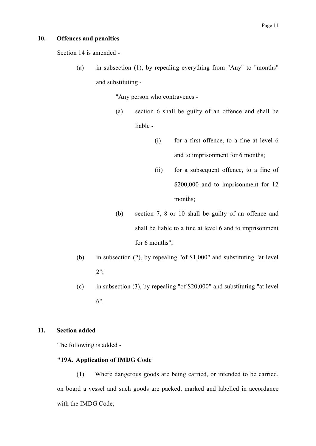### **10. Offences and penalties**

Section 14 is amended -

(a) in subsection (1), by repealing everything from "Any" to "months" and substituting -

"Any person who contravenes -

- (a) section 6 shall be guilty of an offence and shall be liable -
	- (i) for a first offence, to a fine at level 6 and to imprisonment for 6 months;
	- (ii) for a subsequent offence, to a fine of \$200,000 and to imprisonment for 12 months;
- (b) section 7, 8 or 10 shall be guilty of an offence and shall be liable to a fine at level 6 and to imprisonment for 6 months";
- (b) in subsection (2), by repealing "of \$1,000" and substituting "at level 2";
- (c) in subsection (3), by repealing "of  $$20,000"$  and substituting "at level 6".

## **11. Section added**

The following is added -

## **"19A. Application of IMDG Code**

(1) Where dangerous goods are being carried, or intended to be carried, on board a vessel and such goods are packed, marked and labelled in accordance with the IMDG Code,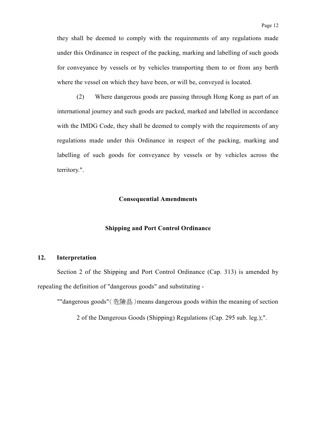they shall be deemed to comply with the requirements of any regulations made under this Ordinance in respect of the packing, marking and labelling of such goods for conveyance by vessels or by vehicles transporting them to or from any berth where the vessel on which they have been, or will be, conveyed is located.

(2) Where dangerous goods are passing through Hong Kong as part of an international journey and such goods are packed, marked and labelled in accordance with the IMDG Code, they shall be deemed to comply with the requirements of any regulations made under this Ordinance in respect of the packing, marking and labelling of such goods for conveyance by vessels or by vehicles across the territory.".

### **Consequential Amendments**

### **Shipping and Port Control Ordinance**

### **12. Interpretation**

Section 2 of the Shipping and Port Control Ordinance (Cap. 313) is amended by repealing the definition of "dangerous goods" and substituting -

""dangerous goods"(危險品)means dangerous goods within the meaning of section

2 of the Dangerous Goods (Shipping) Regulations (Cap. 295 sub. leg.);".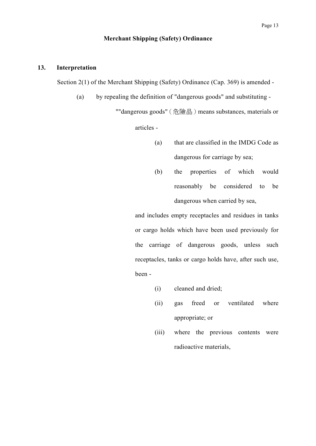## **Merchant Shipping (Safety) Ordinance**

### **13. Interpretation**

Section 2(1) of the Merchant Shipping (Safety) Ordinance (Cap. 369) is amended -

(a) by repealing the definition of "dangerous goods" and substituting -

""dangerous goods" (危險品) means substances, materials or

articles -

- (a) that are classified in the IMDG Code as dangerous for carriage by sea;
- (b) the properties of which would reasonably be considered to be dangerous when carried by sea,

and includes empty receptacles and residues in tanks or cargo holds which have been used previously for the carriage of dangerous goods, unless such receptacles, tanks or cargo holds have, after such use, been -

- (i) cleaned and dried;
- (ii) gas freed or ventilated where appropriate; or
- (iii) where the previous contents were radioactive materials,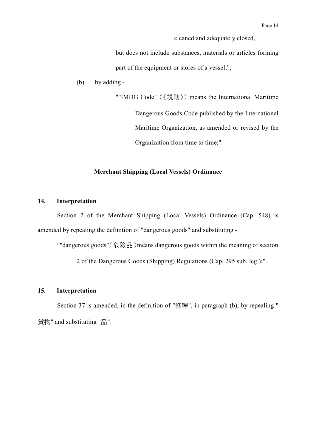cleaned and adequately closed,

but does not include substances, materials or articles forming part of the equipment or stores of a vessel;";

(b) by adding -

""IMDG Code" (《規則》) means the International Maritime Dangerous Goods Code published by the International Maritime Organization, as amended or revised by the Organization from time to time;".

## **Merchant Shipping (Local Vessels) Ordinance**

## **14. Interpretation**

Section 2 of the Merchant Shipping (Local Vessels) Ordinance (Cap. 548) is amended by repealing the definition of "dangerous goods" and substituting -

""dangerous goods"(危險品)means dangerous goods within the meaning of section

2 of the Dangerous Goods (Shipping) Regulations (Cap. 295 sub. leg.);".

### **15. Interpretation**

Section 37 is amended, in the definition of "修理", in paragraph (b), by repealing " 貨物" and substituting "品".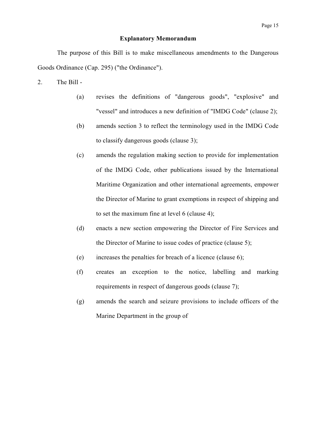### **Explanatory Memorandum**

The purpose of this Bill is to make miscellaneous amendments to the Dangerous Goods Ordinance (Cap. 295) ("the Ordinance").

- 2. The Bill
	- (a) revises the definitions of "dangerous goods", "explosive" and "vessel" and introduces a new definition of "IMDG Code" (clause 2);
	- (b) amends section 3 to reflect the terminology used in the IMDG Code to classify dangerous goods (clause 3);
	- (c) amends the regulation making section to provide for implementation of the IMDG Code, other publications issued by the International Maritime Organization and other international agreements, empower the Director of Marine to grant exemptions in respect of shipping and to set the maximum fine at level 6 (clause 4);
	- (d) enacts a new section empowering the Director of Fire Services and the Director of Marine to issue codes of practice (clause 5);
	- (e) increases the penalties for breach of a licence (clause 6);
	- (f) creates an exception to the notice, labelling and marking requirements in respect of dangerous goods (clause 7);
	- (g) amends the search and seizure provisions to include officers of the Marine Department in the group of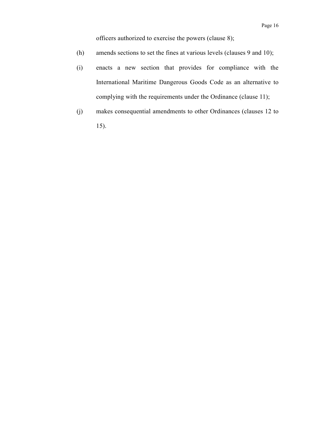officers authorized to exercise the powers (clause 8);

- (h) amends sections to set the fines at various levels (clauses 9 and 10);
- (i) enacts a new section that provides for compliance with the International Maritime Dangerous Goods Code as an alternative to complying with the requirements under the Ordinance (clause 11);
- (j) makes consequential amendments to other Ordinances (clauses 12 to 15).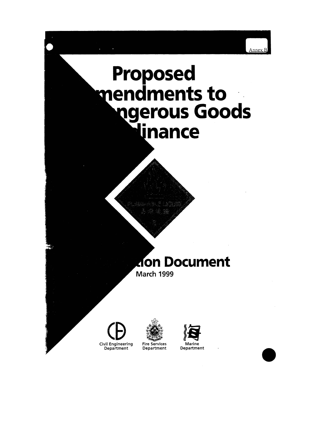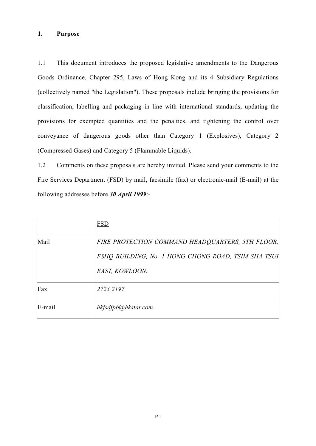## **1. Purpose**

1.1 This document introduces the proposed legislative amendments to the Dangerous Goods Ordinance, Chapter 295, Laws of Hong Kong and its 4 Subsidiary Regulations (collectively named "the Legislation"). These proposals include bringing the provisions for classification, labelling and packaging in line with international standards, updating the provisions for exempted quantities and the penalties, and tightening the control over conveyance of dangerous goods other than Category 1 (Explosives), Category 2 (Compressed Gases) and Category 5 (Flammable Liquids).

1.2 Comments on these proposals are hereby invited. Please send your comments to the Fire Services Department (FSD) by mail, facsimile (fax) or electronic-mail (E-mail) at the following addresses before *30 April 1999*:-

|        | <b>FSD</b>                                          |
|--------|-----------------------------------------------------|
| Mail   | FIRE PROTECTION COMMAND HEADQUARTERS, 5TH FLOOR,    |
|        | FSHQ BUILDING, No. 1 HONG CHONG ROAD, TSIM SHA TSUI |
|        | EAST, KOWLOON.                                      |
| Fax    | 2723 2197                                           |
| E-mail | hkfsdfpb@hkstar.com.                                |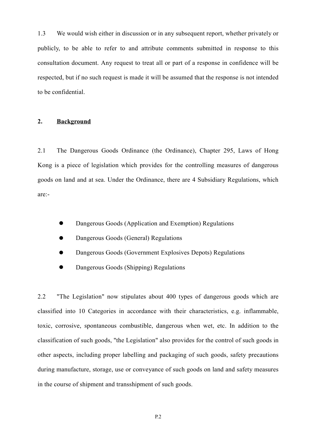1.3 We would wish either in discussion or in any subsequent report, whether privately or publicly, to be able to refer to and attribute comments submitted in response to this consultation document. Any request to treat all or part of a response in confidence will be respected, but if no such request is made it will be assumed that the response is not intended to be confidential.

## **2. Background**

2.1 The Dangerous Goods Ordinance (the Ordinance), Chapter 295, Laws of Hong Kong is a piece of legislation which provides for the controlling measures of dangerous goods on land and at sea. Under the Ordinance, there are 4 Subsidiary Regulations, which are:-

- Dangerous Goods (Application and Exemption) Regulations
- Dangerous Goods (General) Regulations
- Dangerous Goods (Government Explosives Depots) Regulations
- Dangerous Goods (Shipping) Regulations

2.2 "The Legislation" now stipulates about 400 types of dangerous goods which are classified into 10 Categories in accordance with their characteristics, e.g. inflammable, toxic, corrosive, spontaneous combustible, dangerous when wet, etc. In addition to the classification of such goods, "the Legislation" also provides for the control of such goods in other aspects, including proper labelling and packaging of such goods, safety precautions during manufacture, storage, use or conveyance of such goods on land and safety measures in the course of shipment and transshipment of such goods.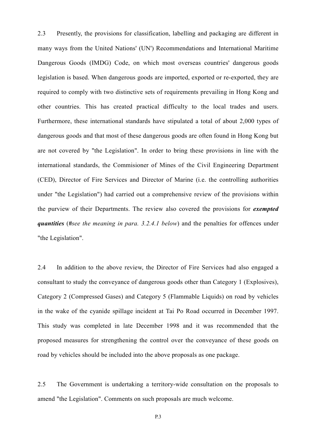2.3 Presently, the provisions for classification, labelling and packaging are different in many ways from the United Nations' (UN') Recommendations and International Maritime Dangerous Goods (IMDG) Code, on which most overseas countries' dangerous goods legislation is based. When dangerous goods are imported, exported or re-exported, they are required to comply with two distinctive sets of requirements prevailing in Hong Kong and other countries. This has created practical difficulty to the local trades and users. Furthermore, these international standards have stipulated a total of about 2,000 types of dangerous goods and that most of these dangerous goods are often found in Hong Kong but are not covered by "the Legislation". In order to bring these provisions in line with the international standards, the Commisioner of Mines of the Civil Engineering Department (CED), Director of Fire Services and Director of Marine (i.e. the controlling authorities under "the Legislation") had carried out a comprehensive review of the provisions within the purview of their Departments. The review also covered the provisions for *exempted quantities* (*#see the meaning in para. 3.2.4.1 below*) and the penalties for offences under "the Legislation".

2.4 In addition to the above review, the Director of Fire Services had also engaged a consultant to study the conveyance of dangerous goods other than Category 1 (Explosives), Category 2 (Compressed Gases) and Category 5 (Flammable Liquids) on road by vehicles in the wake of the cyanide spillage incident at Tai Po Road occurred in December 1997. This study was completed in late December 1998 and it was recommended that the proposed measures for strengthening the control over the conveyance of these goods on road by vehicles should be included into the above proposals as one package.

2.5 The Government is undertaking a territory-wide consultation on the proposals to amend "the Legislation". Comments on such proposals are much welcome.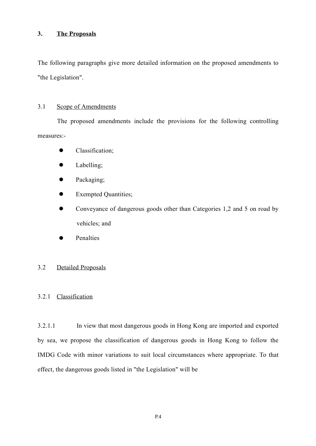## **3. The Proposals**

The following paragraphs give more detailed information on the proposed amendments to "the Legislation".

## 3.1 Scope of Amendments

The proposed amendments include the provisions for the following controlling measures:-

- Classification;
- $\bullet$  Labelling;
- $\bullet$  Packaging;
- $\bullet$  Exempted Quantities;
- Conveyance of dangerous goods other than Categories 1,2 and 5 on road by vehicles; and
- Penalties

## 3.2 Detailed Proposals

## 3.2.1 Classification

3.2.1.1 In view that most dangerous goods in Hong Kong are imported and exported by sea, we propose the classification of dangerous goods in Hong Kong to follow the IMDG Code with minor variations to suit local circumstances where appropriate. To that effect, the dangerous goods listed in "the Legislation" will be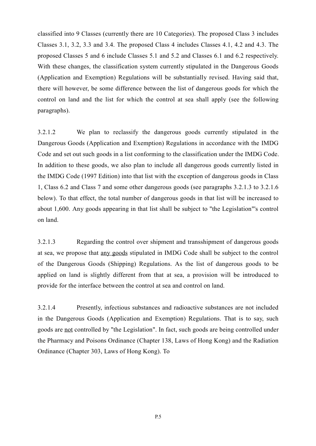classified into 9 Classes (currently there are 10 Categories). The proposed Class 3 includes Classes 3.1, 3.2, 3.3 and 3.4. The proposed Class 4 includes Classes 4.1, 4.2 and 4.3. The proposed Classes 5 and 6 include Classes 5.1 and 5.2 and Classes 6.1 and 6.2 respectively. With these changes, the classification system currently stipulated in the Dangerous Goods (Application and Exemption) Regulations will be substantially revised. Having said that, there will however, be some difference between the list of dangerous goods for which the control on land and the list for which the control at sea shall apply (see the following paragraphs).

3.2.1.2 We plan to reclassify the dangerous goods currently stipulated in the Dangerous Goods (Application and Exemption) Regulations in accordance with the IMDG Code and set out such goods in a list conforming to the classification under the IMDG Code. In addition to these goods, we also plan to include all dangerous goods currently listed in the IMDG Code (1997 Edition) into that list with the exception of dangerous goods in Class 1, Class 6.2 and Class 7 and some other dangerous goods (see paragraphs 3.2.1.3 to 3.2.1.6 below). To that effect, the total number of dangerous goods in that list will be increased to about 1,600. Any goods appearing in that list shall be subject to "the Legislation"'s control on land.

3.2.1.3 Regarding the control over shipment and transshipment of dangerous goods at sea, we propose that any goods stipulated in IMDG Code shall be subject to the control of the Dangerous Goods (Shipping) Regulations. As the list of dangerous goods to be applied on land is slightly different from that at sea, a provision will be introduced to provide for the interface between the control at sea and control on land.

3.2.1.4 Presently, infectious substances and radioactive substances are not included in the Dangerous Goods (Application and Exemption) Regulations. That is to say, such goods are not controlled by "the Legislation". In fact, such goods are being controlled under the Pharmacy and Poisons Ordinance (Chapter 138, Laws of Hong Kong) and the Radiation Ordinance (Chapter 303, Laws of Hong Kong). To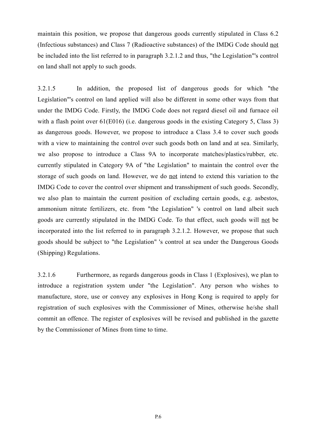maintain this position, we propose that dangerous goods currently stipulated in Class 6.2 (Infectious substances) and Class 7 (Radioactive substances) of the IMDG Code should not be included into the list referred to in paragraph 3.2.1.2 and thus, "the Legislation"'s control on land shall not apply to such goods.

3.2.1.5 In addition, the proposed list of dangerous goods for which "the Legislation"'s control on land applied will also be different in some other ways from that under the IMDG Code. Firstly, the IMDG Code does not regard diesel oil and furnace oil with a flash point over 61(E016) (i.e. dangerous goods in the existing Category 5, Class 3) as dangerous goods. However, we propose to introduce a Class 3.4 to cover such goods with a view to maintaining the control over such goods both on land and at sea. Similarly, we also propose to introduce a Class 9A to incorporate matches/plastics/rubber, etc. currently stipulated in Category 9A of "the Legislation" to maintain the control over the storage of such goods on land. However, we do not intend to extend this variation to the IMDG Code to cover the control over shipment and transshipment of such goods. Secondly, we also plan to maintain the current position of excluding certain goods, e.g. asbestos, ammonium nitrate fertilizers, etc. from "the Legislation" 's control on land albeit such goods are currently stipulated in the IMDG Code. To that effect, such goods will not be incorporated into the list referred to in paragraph 3.2.1.2. However, we propose that such goods should be subject to "the Legislation" 's control at sea under the Dangerous Goods (Shipping) Regulations.

3.2.1.6 Furthermore, as regards dangerous goods in Class 1 (Explosives), we plan to introduce a registration system under "the Legislation". Any person who wishes to manufacture, store, use or convey any explosives in Hong Kong is required to apply for registration of such explosives with the Commissioner of Mines, otherwise he/she shall commit an offence. The register of explosives will be revised and published in the gazette by the Commissioner of Mines from time to time.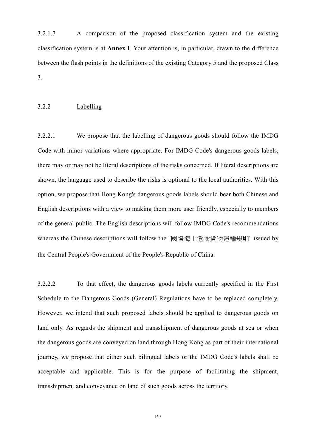3.2.1.7 A comparison of the proposed classification system and the existing classification system is at **Annex I**. Your attention is, in particular, drawn to the difference between the flash points in the definitions of the existing Category 5 and the proposed Class 3.

### 3.2.2 Labelling

3.2.2.1 We propose that the labelling of dangerous goods should follow the IMDG Code with minor variations where appropriate. For IMDG Code's dangerous goods labels, there may or may not be literal descriptions of the risks concerned. If literal descriptions are shown, the language used to describe the risks is optional to the local authorities. With this option, we propose that Hong Kong's dangerous goods labels should bear both Chinese and English descriptions with a view to making them more user friendly, especially to members of the general public. The English descriptions will follow IMDG Code's recommendations whereas the Chinese descriptions will follow the "國際海上危險貨物運輸規則" issued by the Central People's Government of the People's Republic of China.

3.2.2.2 To that effect, the dangerous goods labels currently specified in the First Schedule to the Dangerous Goods (General) Regulations have to be replaced completely. However, we intend that such proposed labels should be applied to dangerous goods on land only. As regards the shipment and transshipment of dangerous goods at sea or when the dangerous goods are conveyed on land through Hong Kong as part of their international journey, we propose that either such bilingual labels or the IMDG Code's labels shall be acceptable and applicable. This is for the purpose of facilitating the shipment, transshipment and conveyance on land of such goods across the territory.

P.7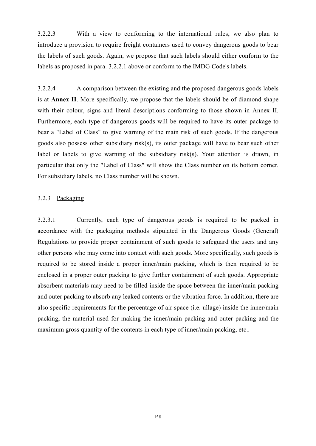3.2.2.3 With a view to conforming to the international rules, we also plan to introduce a provision to require freight containers used to convey dangerous goods to bear the labels of such goods. Again, we propose that such labels should either conform to the labels as proposed in para. 3.2.2.1 above or conform to the IMDG Code's labels.

3.2.2.4 A comparison between the existing and the proposed dangerous goods labels is at **Annex II**. More specifically, we propose that the labels should be of diamond shape with their colour, signs and literal descriptions conforming to those shown in Annex II. Furthermore, each type of dangerous goods will be required to have its outer package to bear a "Label of Class" to give warning of the main risk of such goods. If the dangerous goods also possess other subsidiary risk(s), its outer package will have to bear such other label or labels to give warning of the subsidiary risk(s). Your attention is drawn, in particular that only the "Label of Class" will show the Class number on its bottom corner. For subsidiary labels, no Class number will be shown.

## 3.2.3 Packaging

3.2.3.1 Currently, each type of dangerous goods is required to be packed in accordance with the packaging methods stipulated in the Dangerous Goods (General) Regulations to provide proper containment of such goods to safeguard the users and any other persons who may come into contact with such goods. More specifically, such goods is required to be stored inside a proper inner/main packing, which is then required to be enclosed in a proper outer packing to give further containment of such goods. Appropriate absorbent materials may need to be filled inside the space between the inner/main packing and outer packing to absorb any leaked contents or the vibration force. In addition, there are also specific requirements for the percentage of air space (i.e. ullage) inside the inner/main packing, the material used for making the inner/main packing and outer packing and the maximum gross quantity of the contents in each type of inner/main packing, etc..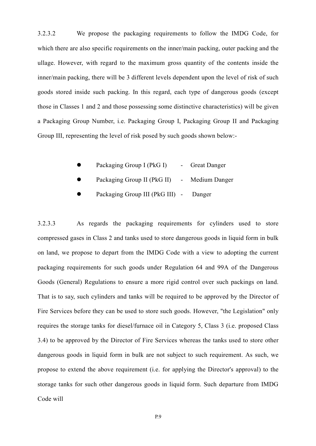3.2.3.2 We propose the packaging requirements to follow the IMDG Code, for which there are also specific requirements on the inner/main packing, outer packing and the ullage. However, with regard to the maximum gross quantity of the contents inside the inner/main packing, there will be 3 different levels dependent upon the level of risk of such goods stored inside such packing. In this regard, each type of dangerous goods (except those in Classes 1 and 2 and those possessing some distinctive characteristics) will be given a Packaging Group Number, i.e. Packaging Group I, Packaging Group II and Packaging Group III, representing the level of risk posed by such goods shown below:-

- Packaging Group I (PkG I) Great Danger
- Packaging Group II (PkG II) Medium Danger
- Packaging Group III (PkG III) Danger

3.2.3.3 As regards the packaging requirements for cylinders used to store compressed gases in Class 2 and tanks used to store dangerous goods in liquid form in bulk on land, we propose to depart from the IMDG Code with a view to adopting the current packaging requirements for such goods under Regulation 64 and 99A of the Dangerous Goods (General) Regulations to ensure a more rigid control over such packings on land. That is to say, such cylinders and tanks will be required to be approved by the Director of Fire Services before they can be used to store such goods. However, "the Legislation" only requires the storage tanks for diesel/furnace oil in Category 5, Class 3 (i.e. proposed Class 3.4) to be approved by the Director of Fire Services whereas the tanks used to store other dangerous goods in liquid form in bulk are not subject to such requirement. As such, we propose to extend the above requirement (i.e. for applying the Director's approval) to the storage tanks for such other dangerous goods in liquid form. Such departure from IMDG Code will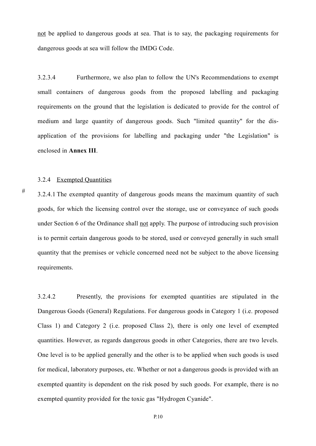not be applied to dangerous goods at sea. That is to say, the packaging requirements for dangerous goods at sea will follow the IMDG Code.

3.2.3.4 Furthermore, we also plan to follow the UN's Recommendations to exempt small containers of dangerous goods from the proposed labelling and packaging requirements on the ground that the legislation is dedicated to provide for the control of medium and large quantity of dangerous goods. Such "limited quantity" for the disapplication of the provisions for labelling and packaging under "the Legislation" is enclosed in **Annex III**.

### 3.2.4 Exempted Quantities

#

3.2.4.1 The exempted quantity of dangerous goods means the maximum quantity of such goods, for which the licensing control over the storage, use or conveyance of such goods under Section 6 of the Ordinance shall not apply. The purpose of introducing such provision is to permit certain dangerous goods to be stored, used or conveyed generally in such small quantity that the premises or vehicle concerned need not be subject to the above licensing requirements.

3.2.4.2 Presently, the provisions for exempted quantities are stipulated in the Dangerous Goods (General) Regulations. For dangerous goods in Category 1 (i.e. proposed Class 1) and Category 2 (i.e. proposed Class 2), there is only one level of exempted quantities. However, as regards dangerous goods in other Categories, there are two levels. One level is to be applied generally and the other is to be applied when such goods is used for medical, laboratory purposes, etc. Whether or not a dangerous goods is provided with an exempted quantity is dependent on the risk posed by such goods. For example, there is no exempted quantity provided for the toxic gas "Hydrogen Cyanide".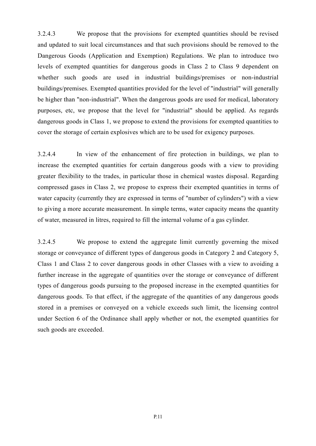3.2.4.3 We propose that the provisions for exempted quantities should be revised and updated to suit local circumstances and that such provisions should be removed to the Dangerous Goods (Application and Exemption) Regulations. We plan to introduce two levels of exempted quantities for dangerous goods in Class 2 to Class 9 dependent on whether such goods are used in industrial buildings/premises or non-industrial buildings/premises. Exempted quantities provided for the level of "industrial" will generally be higher than "non-industrial". When the dangerous goods are used for medical, laboratory purposes, etc, we propose that the level for "industrial" should be applied. As regards dangerous goods in Class 1, we propose to extend the provisions for exempted quantities to cover the storage of certain explosives which are to be used for exigency purposes.

3.2.4.4 In view of the enhancement of fire protection in buildings, we plan to increase the exempted quantities for certain dangerous goods with a view to providing greater flexibility to the trades, in particular those in chemical wastes disposal. Regarding compressed gases in Class 2, we propose to express their exempted quantities in terms of water capacity (currently they are expressed in terms of "number of cylinders") with a view to giving a more accurate measurement. In simple terms, water capacity means the quantity of water, measured in litres, required to fill the internal volume of a gas cylinder.

3.2.4.5 We propose to extend the aggregate limit currently governing the mixed storage or conveyance of different types of dangerous goods in Category 2 and Category 5, Class 1 and Class 2 to cover dangerous goods in other Classes with a view to avoiding a further increase in the aggregate of quantities over the storage or conveyance of different types of dangerous goods pursuing to the proposed increase in the exempted quantities for dangerous goods. To that effect, if the aggregate of the quantities of any dangerous goods stored in a premises or conveyed on a vehicle exceeds such limit, the licensing control under Section 6 of the Ordinance shall apply whether or not, the exempted quantities for such goods are exceeded.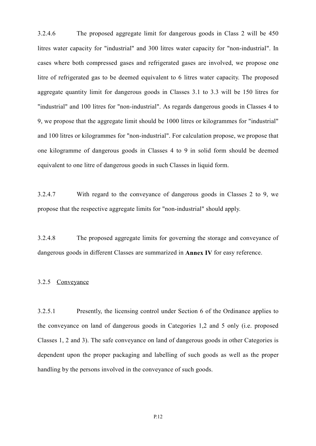3.2.4.6 The proposed aggregate limit for dangerous goods in Class 2 will be 450 litres water capacity for "industrial" and 300 litres water capacity for "non-industrial". In cases where both compressed gases and refrigerated gases are involved, we propose one litre of refrigerated gas to be deemed equivalent to 6 litres water capacity. The proposed aggregate quantity limit for dangerous goods in Classes 3.1 to 3.3 will be 150 litres for "industrial" and 100 litres for "non-industrial". As regards dangerous goods in Classes 4 to 9, we propose that the aggregate limit should be 1000 litres or kilogrammes for "industrial" and 100 litres or kilogrammes for "non-industrial". For calculation propose, we propose that one kilogramme of dangerous goods in Classes 4 to 9 in solid form should be deemed equivalent to one litre of dangerous goods in such Classes in liquid form.

3.2.4.7 With regard to the conveyance of dangerous goods in Classes 2 to 9, we propose that the respective aggregate limits for "non-industrial" should apply.

3.2.4.8 The proposed aggregate limits for governing the storage and conveyance of dangerous goods in different Classes are summarized in **Annex IV** for easy reference.

### 3.2.5 Conveyance

3.2.5.1 Presently, the licensing control under Section 6 of the Ordinance applies to the conveyance on land of dangerous goods in Categories 1,2 and 5 only (i.e. proposed Classes 1, 2 and 3). The safe conveyance on land of dangerous goods in other Categories is dependent upon the proper packaging and labelling of such goods as well as the proper handling by the persons involved in the conveyance of such goods.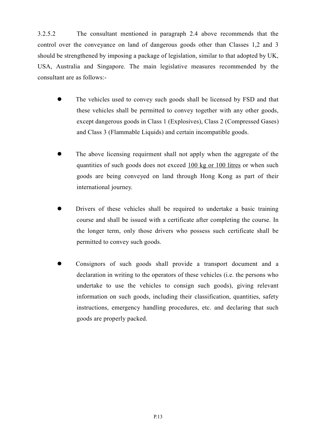3.2.5.2 The consultant mentioned in paragraph 2.4 above recommends that the control over the conveyance on land of dangerous goods other than Classes 1,2 and 3 should be strengthened by imposing a package of legislation, similar to that adopted by UK, USA, Australia and Singapore. The main legislative measures recommended by the consultant are as follows:-

- The vehicles used to convey such goods shall be licensed by FSD and that these vehicles shall be permitted to convey together with any other goods, except dangerous goods in Class 1 (Explosives), Class 2 (Compressed Gases) and Class 3 (Flammable Liquids) and certain incompatible goods.
- The above licensing requirment shall not apply when the aggregate of the quantities of such goods does not exceed 100 kg or 100 litres or when such goods are being conveyed on land through Hong Kong as part of their international journey.
- Drivers of these vehicles shall be required to undertake a basic training course and shall be issued with a certificate after completing the course. In the longer term, only those drivers who possess such certificate shall be permitted to convey such goods.
- z Consignors of such goods shall provide a transport document and a declaration in writing to the operators of these vehicles (i.e. the persons who undertake to use the vehicles to consign such goods), giving relevant information on such goods, including their classification, quantities, safety instructions, emergency handling procedures, etc. and declaring that such goods are properly packed.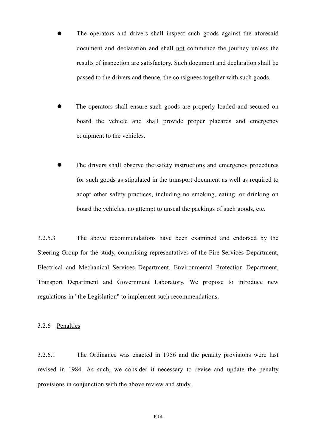- The operators and drivers shall inspect such goods against the aforesaid document and declaration and shall not commence the journey unless the results of inspection are satisfactory. Such document and declaration shall be passed to the drivers and thence, the consignees together with such goods.
- The operators shall ensure such goods are properly loaded and secured on board the vehicle and shall provide proper placards and emergency equipment to the vehicles.
- The drivers shall observe the safety instructions and emergency procedures for such goods as stipulated in the transport document as well as required to adopt other safety practices, including no smoking, eating, or drinking on board the vehicles, no attempt to unseal the packings of such goods, etc.

3.2.5.3 The above recommendations have been examined and endorsed by the Steering Group for the study, comprising representatives of the Fire Services Department, Electrical and Mechanical Services Department, Environmental Protection Department, Transport Department and Government Laboratory. We propose to introduce new regulations in "the Legislation" to implement such recommendations.

### 3.2.6 Penalties

3.2.6.1 The Ordinance was enacted in 1956 and the penalty provisions were last revised in 1984. As such, we consider it necessary to revise and update the penalty provisions in conjunction with the above review and study.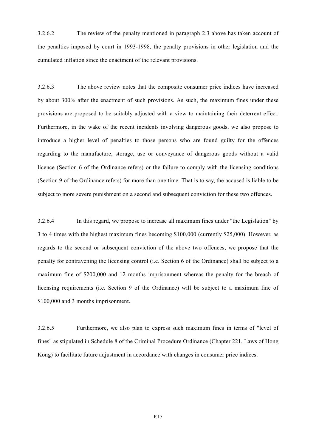3.2.6.2 The review of the penalty mentioned in paragraph 2.3 above has taken account of the penalties imposed by court in 1993-1998, the penalty provisions in other legislation and the cumulated inflation since the enactment of the relevant provisions.

3.2.6.3 The above review notes that the composite consumer price indices have increased by about 300% after the enactment of such provisions. As such, the maximum fines under these provisions are proposed to be suitably adjusted with a view to maintaining their deterrent effect. Furthermore, in the wake of the recent incidents involving dangerous goods, we also propose to introduce a higher level of penalties to those persons who are found guilty for the offences regarding to the manufacture, storage, use or conveyance of dangerous goods without a valid licence (Section 6 of the Ordinance refers) or the failure to comply with the licensing conditions (Section 9 of the Ordinance refers) for more than one time. That is to say, the accused is liable to be subject to more severe punishment on a second and subsequent conviction for these two offences.

3.2.6.4 In this regard, we propose to increase all maximum fines under "the Legislation" by 3 to 4 times with the highest maximum fines becoming \$100,000 (currently \$25,000). However, as regards to the second or subsequent conviction of the above two offences, we propose that the penalty for contravening the licensing control (i.e. Section 6 of the Ordinance) shall be subject to a maximum fine of \$200,000 and 12 months imprisonment whereas the penalty for the breach of licensing requirements (i.e. Section 9 of the Ordinance) will be subject to a maximum fine of \$100,000 and 3 months imprisonment.

3.2.6.5 Furthermore, we also plan to express such maximum fines in terms of "level of fines" as stipulated in Schedule 8 of the Criminal Procedure Ordinance (Chapter 221, Laws of Hong Kong) to facilitate future adjustment in accordance with changes in consumer price indices.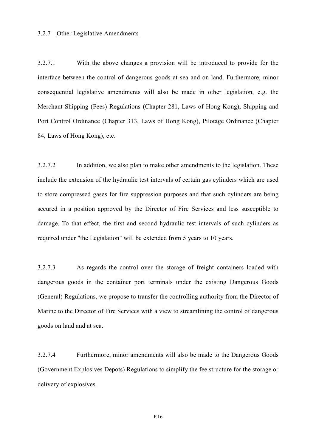### 3.2.7 Other Legislative Amendments

3.2.7.1 With the above changes a provision will be introduced to provide for the interface between the control of dangerous goods at sea and on land. Furthermore, minor consequential legislative amendments will also be made in other legislation, e.g. the Merchant Shipping (Fees) Regulations (Chapter 281, Laws of Hong Kong), Shipping and Port Control Ordinance (Chapter 313, Laws of Hong Kong), Pilotage Ordinance (Chapter 84, Laws of Hong Kong), etc.

3.2.7.2 In addition, we also plan to make other amendments to the legislation. These include the extension of the hydraulic test intervals of certain gas cylinders which are used to store compressed gases for fire suppression purposes and that such cylinders are being secured in a position approved by the Director of Fire Services and less susceptible to damage. To that effect, the first and second hydraulic test intervals of such cylinders as required under "the Legislation" will be extended from 5 years to 10 years.

3.2.7.3 As regards the control over the storage of freight containers loaded with dangerous goods in the container port terminals under the existing Dangerous Goods (General) Regulations, we propose to transfer the controlling authority from the Director of Marine to the Director of Fire Services with a view to streamlining the control of dangerous goods on land and at sea.

3.2.7.4 Furthermore, minor amendments will also be made to the Dangerous Goods (Government Explosives Depots) Regulations to simplify the fee structure for the storage or delivery of explosives.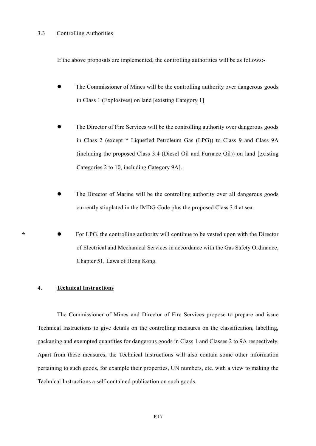### 3.3 Controlling Authorities

If the above proposals are implemented, the controlling authorities will be as follows:-

- The Commissioner of Mines will be the controlling authority over dangerous goods in Class 1 (Explosives) on land [existing Category 1]
- The Director of Fire Services will be the controlling authority over dangerous goods in Class 2 (except \* Liquefied Petroleum Gas (LPG)) to Class 9 and Class 9A (including the proposed Class 3.4 (Diesel Oil and Furnace Oil)) on land [existing Categories 2 to 10, including Category 9A].
- The Director of Marine will be the controlling authority over all dangerous goods currently stiuplated in the IMDG Code plus the proposed Class 3.4 at sea.
- For LPG, the controlling authority will continue to be vested upon with the Director of Electrical and Mechanical Services in accordance with the Gas Safety Ordinance, Chapter 51, Laws of Hong Kong.

### **4. Technical Instructions**

**\***

The Commissioner of Mines and Director of Fire Services propose to prepare and issue Technical Instructions to give details on the controlling measures on the classification, labelling, packaging and exempted quantities for dangerous goods in Class 1 and Classes 2 to 9A respectively. Apart from these measures, the Technical Instructions will also contain some other information pertaining to such goods, for example their properties, UN numbers, etc. with a view to making the Technical Instructions a self-contained publication on such goods.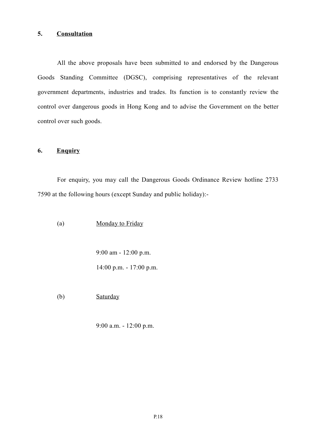## **5. Consultation**

All the above proposals have been submitted to and endorsed by the Dangerous Goods Standing Committee (DGSC), comprising representatives of the relevant government departments, industries and trades. Its function is to constantly review the control over dangerous goods in Hong Kong and to advise the Government on the better control over such goods.

## **6. Enquiry**

For enquiry, you may call the Dangerous Goods Ordinance Review hotline 2733 7590 at the following hours (except Sunday and public holiday):-

(a) Monday to Friday

9:00 am - 12:00 p.m. 14:00 p.m. - 17:00 p.m.

(b) Saturday

9:00 a.m. - 12:00 p.m.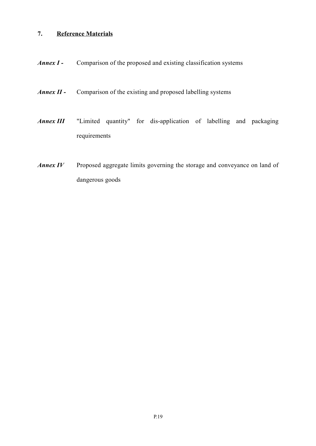# **7. Reference Materials**

- *Annex I -* Comparison of the proposed and existing classification systems
- *Annex II -* Comparison of the existing and proposed labelling systems
- *Annex III* "Limited quantity" for dis-application of labelling and packaging requirements
- *Annex IV* Proposed aggregate limits governing the storage and conveyance on land of dangerous goods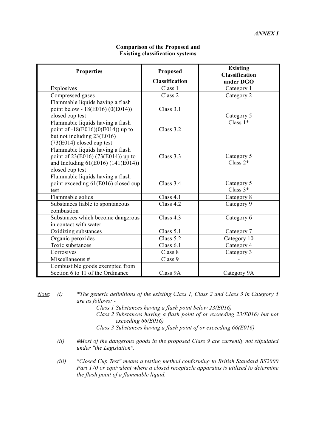| <b>Properties</b>                                                                                                                    | Proposed                    | <b>Existing</b><br><b>Classification</b> |  |
|--------------------------------------------------------------------------------------------------------------------------------------|-----------------------------|------------------------------------------|--|
|                                                                                                                                      | <b>Classification</b>       | under DGO                                |  |
| Explosives                                                                                                                           | Class 1                     | Category 1                               |  |
| Compressed gases                                                                                                                     | Class 2                     | Category 2                               |  |
| Flammable liquids having a flash<br>point below - 18(E016) (0(E014))<br>closed cup test                                              | Class 3.1                   | Category 5                               |  |
| Flammable liquids having a flash<br>point of $-18(E016)(0(E014))$ up to<br>but not including 23(E016)<br>$(73(E014)$ closed cup test | Class $3.2$                 | Class $1*$                               |  |
| Flammable liquids having a flash<br>point of 23(E016) (73(E014)) up to<br>and Including $61(E016) (141(E014))$<br>closed cup test    | Class $3.3$                 | Category 5<br>Class $2*$                 |  |
| Flammable liquids having a flash<br>point exceeding 61(E016) closed cup<br>test                                                      | Class $3.4$                 | Category 5<br>Class $3*$                 |  |
| Flammable solids                                                                                                                     | Class $4.1$                 | Category 8                               |  |
| Substances liable to spontaneous<br>combustion                                                                                       | Class $4.2$                 | Category 9                               |  |
| Substances which become dangerous<br>in contact with water                                                                           | Class $4.3$                 | Category 6                               |  |
| Oxidizing substances                                                                                                                 | Class 5.1                   | Category 7                               |  |
| Organic peroxides                                                                                                                    | Class 5.2                   | Category 10                              |  |
| Toxic substances                                                                                                                     | Class 6.1                   | Category 4                               |  |
| Corrosives                                                                                                                           | $\overline{\text{Class}}$ 8 | Category 3                               |  |
| Miscellaneous #                                                                                                                      | Class 9                     |                                          |  |
| Combustible goods exempted from<br>Section 6 to 11 of the Ordinance                                                                  | Class 9A                    | Category 9A                              |  |

### **Comparison of the Proposed and Existing classification systems**

*Note*: *(i) \*The generic definitions of the existing Class 1, Class 2 and Class 3 in Category 5 are as follows: -*

- *Class 1 Substances having a flash point below 23(E016)*
- *Class 2 Substances having a flash point of or exceeding 23(E016) but not exceeding 66(E016)*
- *Class 3 Substances having a flash point of or exceeding 66(E016)*
- *(ii) #Most of the dangerous goods in the proposed Class 9 are currently not stipulated under "the Legislation".*
- *(iii) "Closed Cup Test" means a testing method conforming to British Standard BS2000 Part 170 or equivalent where a closed receptacle apparatus is utilized to determine the flash point of a flammable liquid.*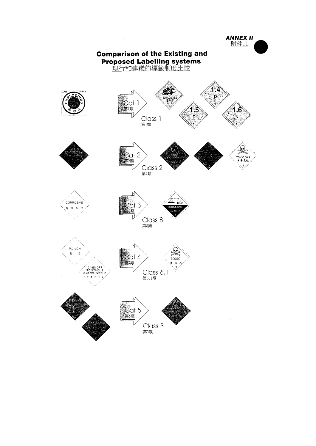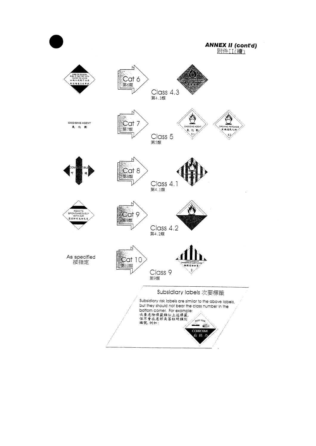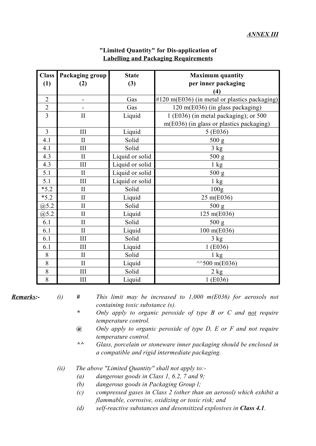| <b>Class</b>   | Packaging group          | <b>State</b>    | <b>Maximum</b> quantity                                  |
|----------------|--------------------------|-----------------|----------------------------------------------------------|
| (1)            | (2)                      | (3)             | per inner packaging                                      |
|                |                          |                 | (4)                                                      |
| $\overline{2}$ | $\overline{\phantom{0}}$ | Gas             | $\#120 \text{ m}(E036)$ (in metal or plastics packaging) |
| $\overline{2}$ |                          | Gas             | 120 m(E036) (in glass packaging)                         |
| $\overline{3}$ | $\rm II$                 | Liquid          | $1$ (E036) (in metal packaging); or 500                  |
|                |                          |                 | m(E036) (in glass or plastics packaging)                 |
| $\overline{3}$ | III                      | Liquid          | 5 (E036)                                                 |
| 4.1            | $\mathbf{I}$             | Solid           | 500 g                                                    |
| 4.1            | III                      | Solid           | 3 kg                                                     |
| 4.3            | $\mathbf{I}$             | Liquid or solid | 500 g                                                    |
| 4.3            | III                      | Liquid or solid | $1 \text{ kg}$                                           |
| 5.1            | $\mathbf{I}$             | Liquid or solid | 500 g                                                    |
| 5.1            | III                      | Liquid or solid | $1 \text{ kg}$                                           |
| $*5.2$         | $\mathbf{I}$             | Solid           | 100 <sub>g</sub>                                         |
| $*5.2$         | $\mathbf{I}$             | Liquid          | 25 m(E036)                                               |
| @5.2           | $\mathbf{I}$             | Solid           | 500 g                                                    |
| @5.2           | $\mathbf{I}$             | Liquid          | 125 m(E036)                                              |
| 6.1            | $\rm II$                 | Solid           | 500 g                                                    |
| 6.1            | $\prod$                  | Liquid          | 100 m(E036)                                              |
| 6.1            | III                      | Solid           | 3 kg                                                     |
| 6.1            | III                      | Liquid          | 1(E036)                                                  |
| 8              | $\mathbf{I}$             | Solid           | $1 \text{ kg}$                                           |
| 8              | $\mathbf{I}$             | Liquid          | $^{44}$ 500 m(E036)                                      |
| 8              | III                      | Solid           | 2 kg                                                     |
| 8              | $\rm III$                | Liquid          | 1(E036)                                                  |

## **"Limited Quantity" for Dis-application of Labelling and Packaging Requirements**

- *Remarks:- (i) # This limit may be increased to 1,000 m(E036) for aerosols not containing toxic substance (s).*
	- *\* Only apply to organic peroxide of type B or C and not require temperature control.*
	- *@ Only apply to organic peroxide of type D, E or F and not require temperature control.*
	- *^^ Glass, porcelain or stoneware inner packaging should be enclosed in a compatible and rigid intermediate packaging.*
	- *(ii) The above "Limited Quantity" shall not apply to:-*
		- *(a) dangerous goods in Class 1, 6.2, 7 and 9;*
		- *(b) dangerous goods in Packaging Group l;*
		- *(c) compressed gases in Class 2 (other than an aerosol) which exhibit a flammable, corrosive, oxidizing or toxic risk; and*
		- *(d) self-reactive substances and desensitized explosives in Class 4.1.*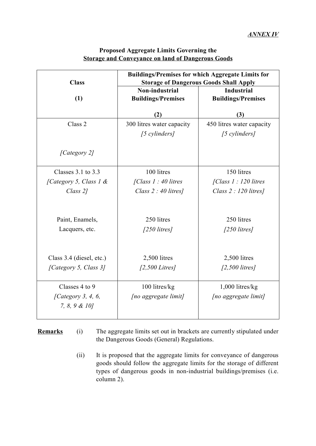| <b>Class</b>                        | <b>Buildings/Premises for which Aggregate Limits for</b><br><b>Storage of Dangerous Goods Shall Apply</b> |                                                |  |  |
|-------------------------------------|-----------------------------------------------------------------------------------------------------------|------------------------------------------------|--|--|
| (1)                                 | Non-industrial<br><b>Buildings/Premises</b>                                                               | <b>Industrial</b><br><b>Buildings/Premises</b> |  |  |
|                                     | (2)                                                                                                       | (3)                                            |  |  |
| Class 2                             | 300 litres water capacity<br>[5 cylinders]                                                                | 450 litres water capacity<br>[5 cylinders]     |  |  |
| [Category 2]                        |                                                                                                           |                                                |  |  |
| Classes $3.1$ to $3.3$              | 100 litres                                                                                                | 150 litres                                     |  |  |
| [Category 5, Class 1 $\&$           | [Class $1:40$ litres                                                                                      | $\int Class 1: 120 litres$                     |  |  |
| Class 2]                            | Class $2:40$ litres]                                                                                      | Class $2:120$ litres]                          |  |  |
| Paint, Enamels,                     | 250 litres                                                                                                | 250 litres                                     |  |  |
| Lacquers, etc.                      | $[250$ litres]                                                                                            | $[250$ litres]                                 |  |  |
|                                     |                                                                                                           |                                                |  |  |
| Class 3.4 (diesel, etc.)            | 2,500 litres                                                                                              | 2,500 litres                                   |  |  |
| [Category 5, Class 3]               | $[2,500 \text{ Litres}]$                                                                                  | $[2,500$ litres]                               |  |  |
| Classes 4 to 9                      | 100 litres/kg                                                                                             | $1,000$ litres/kg                              |  |  |
| [Category 3, 4, 6,<br>7, 8, 9 & 10] | [no aggregate limit]                                                                                      | [no aggregate limit]                           |  |  |

## **Proposed Aggregate Limits Governing the Storage and Conveyance on land of Dangerous Goods**

- **Remarks** (i) The aggregate limits set out in brackets are currently stipulated under the Dangerous Goods (General) Regulations.
	- (ii) It is proposed that the aggregate limits for conveyance of dangerous goods should follow the aggregate limits for the storage of different types of dangerous goods in non-industrial buildings/premises (i.e. column 2).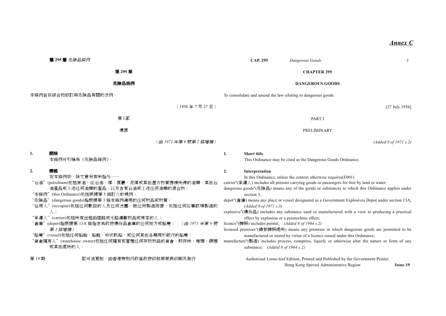#### *Annex C*

| 第 295 章 危險品條例                                                                                                                                                                                                                                                                                                                                                                                                                                                                                                   | <b>CAP. 295</b><br>$\mathfrak{Z}$<br>Dangerous Goods                                                                                                                                                                                                                                                                                                                                                                                                                                                                                                                                                                                                                                                                                                                                                                                                                                                                                                                   |  |  |
|-----------------------------------------------------------------------------------------------------------------------------------------------------------------------------------------------------------------------------------------------------------------------------------------------------------------------------------------------------------------------------------------------------------------------------------------------------------------------------------------------------------------|------------------------------------------------------------------------------------------------------------------------------------------------------------------------------------------------------------------------------------------------------------------------------------------------------------------------------------------------------------------------------------------------------------------------------------------------------------------------------------------------------------------------------------------------------------------------------------------------------------------------------------------------------------------------------------------------------------------------------------------------------------------------------------------------------------------------------------------------------------------------------------------------------------------------------------------------------------------------|--|--|
| 第 295章                                                                                                                                                                                                                                                                                                                                                                                                                                                                                                          | <b>CHAPTER 295</b>                                                                                                                                                                                                                                                                                                                                                                                                                                                                                                                                                                                                                                                                                                                                                                                                                                                                                                                                                     |  |  |
| 危險品條例                                                                                                                                                                                                                                                                                                                                                                                                                                                                                                           | <b>DANGEROUS GOODS</b>                                                                                                                                                                                                                                                                                                                                                                                                                                                                                                                                                                                                                                                                                                                                                                                                                                                                                                                                                 |  |  |
| 本條例旨在綜合和修訂與危險品有關的法例。                                                                                                                                                                                                                                                                                                                                                                                                                                                                                            | To consolidate and amend the law relating to dangerous goods.                                                                                                                                                                                                                                                                                                                                                                                                                                                                                                                                                                                                                                                                                                                                                                                                                                                                                                          |  |  |
| [1956年7月27日]                                                                                                                                                                                                                                                                                                                                                                                                                                                                                                    | $[27$ July 1956]                                                                                                                                                                                                                                                                                                                                                                                                                                                                                                                                                                                                                                                                                                                                                                                                                                                                                                                                                       |  |  |
| 第I部                                                                                                                                                                                                                                                                                                                                                                                                                                                                                                             | <b>PART I</b>                                                                                                                                                                                                                                                                                                                                                                                                                                                                                                                                                                                                                                                                                                                                                                                                                                                                                                                                                          |  |  |
| 導言                                                                                                                                                                                                                                                                                                                                                                                                                                                                                                              | PRELIMINARY                                                                                                                                                                                                                                                                                                                                                                                                                                                                                                                                                                                                                                                                                                                                                                                                                                                                                                                                                            |  |  |
| (由1971年第9號第2條增補)                                                                                                                                                                                                                                                                                                                                                                                                                                                                                                | (Added 9 of 1971 s.2)                                                                                                                                                                                                                                                                                                                                                                                                                                                                                                                                                                                                                                                                                                                                                                                                                                                                                                                                                  |  |  |
| 1.<br>簡稱<br>本條例可引稱為《危險品條例》。                                                                                                                                                                                                                                                                                                                                                                                                                                                                                     | <b>Short title</b><br>1.<br>This Ordinance may be cited as the Dangerous Goods Ordinance.                                                                                                                                                                                                                                                                                                                                                                                                                                                                                                                                                                                                                                                                                                                                                                                                                                                                              |  |  |
| 2.<br>釋義<br>在本條例中,除文意另有所指外——<br>(petroleum)包括原油、從石油、煤、頁巖、泥煤或其他瀝青物質提煉所得的油類、其他石<br>"石油"<br>油產品或上述任何油類的產品,以及含有石油或上述任何油類的混合物;<br>"本條例" (this Ordinance)包括根據第5條訂立的規例;<br>"危險品" (dangerous goods)指根據第3條本條例適用的任何物品或物質;<br>"佔用人" (occupier)包括任何數目的人及任何法團,就任何製造而言,包括任何從事該項製造的<br>人;<br>"承運人" (carrier)包括所有出租由陸路或水路運載物品或乘客的人;<br>(depot)指根據第 13A 條指定為政府爆炸品倉庫的任何地方或船隻;<br>(由1971年第9號<br>"倉庫"<br>第3條增補)<br>"船隻" (vessel)包括任何船舶、船艇、中式帆船,或任何其他各類用於航行的船隻;<br>"貨倉擁有人" (warehouse owner)包括任何擁有或管理任何存放物品的貨倉、貯存所、埠頭、碼頭<br>或其他處所的人; | 2.<br>Interpretation<br>In this Ordinance, unless the context otherwise requires(E001)<br>carrier"(承運人) includes all persons carrying goods or passengers for hire by land or water;<br>dangerous goods"(危險品) means any of the goods or substances to which this Ordinance applies under<br>section 3:<br>depot"(倉庫) means any place or vessel designated as a Government Explosives Depot under section 13A;<br>(Added 9 of 1971 s.3)<br>explosive"(爆炸品) includes any substance used or manufactured with a view to producing a practical<br>effect by explosion or a pyrotechnic effect;<br>licence"(牌照) includes permit; (Added 8 of 1964 s.2)<br>licensed premises"(領有牌照處所) means any premises in which dangerous goods are permitted to be<br>manufactured or stored by virtue of a licence issued under this Ordinance;<br>manufacture"(製造) includes process, compress, liquefy or otherwise alter the nature or form of any<br>substance; (Added 8 of 1964 s.2) |  |  |
| 認可活頁版,由香港特別行政區政府印務局局長印刷及發行<br>第19期                                                                                                                                                                                                                                                                                                                                                                                                                                                                              | Authorized Loose-leaf Edition, Printed and Published by the Government Printer,<br>Hong Kong Special Administrative Region<br><b>Issue 19</b>                                                                                                                                                                                                                                                                                                                                                                                                                                                                                                                                                                                                                                                                                                                                                                                                                          |  |  |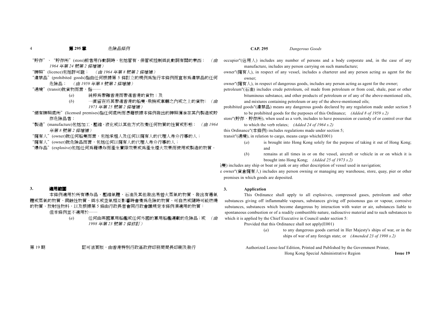#### 4第 **<sup>295</sup>** 章 危險品條例 **CAP. 295** *Dangerous Goods*

- "貯存"、"貯存所"(store)前者用作動詞時,包括管有、保管或控制與此動詞有關的東西; (由
- *1964* 年第 *<sup>24</sup>* 號第 *<sup>2</sup>* 條增補)
- "牌照"(licence)包括許可證; (由 *<sup>1964</sup>* 年第 *<sup>8</sup>* 號第 *<sup>2</sup>* 條增補)
- "違禁品"(prohibited goods)指由任何根據第 <sup>5</sup> 條訂立的規例為施行本條例而宣布為違禁品的任何 危險品; (由 *<sup>1959</sup>* 年第 *<sup>8</sup>* 號第 *<sup>2</sup>* 條增補)
- "過境"(transit)就貨物而言,指――
	- (*a*) 純粹為帶離香港而帶進香港的貨物;及
	- (*b*) ㆒直留在將其帶進香港的船隻、飛機或車輛之內或之㆖的貨物; (由 *1973* 年第 *<sup>25</sup>* 號第 *<sup>2</sup>* 條增補)
- "領有牌照處所"(licensed premises)指任何處所而憑藉根據本條例發出的牌照獲准在其內製造或貯 存危險品者;
- "製造"(manufacture)包括加工、壓縮、液化或以其他方式改變任何物質的性質或形態; (由 *<sup>1964</sup>* 年第 *<sup>8</sup>* 號第 *<sup>2</sup>* 條增補)
- "擁有人"(owner)就任何船隻而言,包括承租人及任何以擁有人的代理人身分行事的人;
- "擁有㆟"(owner)就危險品而言,包括任何以擁有㆟的代理㆟身分行事的㆟;
- "爆炸品"(explosive)包括任何為藉爆炸而產生實際效果或為產生煙火效果而使用或製造的物質。

#### **3.**適用範圍

本條例適用於所有爆炸品、壓縮氣體、石油及其他發出易着火蒸氣的物質、發出有毒氣 體或蒸氣的物質、腐蝕性物質、與水或空氣相互影響時會變為危險的物質、可自然或隨時可能燃燒 的物質、放射性物料,以及根據第 5 條由行政長官會同行政會議規定本條例須適用的物質

但本條例並不適用於-

(*a*) 任何由英國軍用船艦或任何外國的軍用船艦運載的危險品;或 (由 *1998* 年第 *<sup>23</sup>* 號第 *<sup>2</sup>* 條修訂)

第 <sup>19</sup> 期 認可活頁版,由香港特別行政區政府印務局局長印刷及發行 Authorized Loose-leaf Edition, Printed and Published by the Government Printer,

- occupier"(佔用人) includes any number of persons and a body corporate and, in the case of any manufacture, includes any person carrying on such manufacture;
- owner"(擁有㆟), in respect of any vessel, includes a charterer and any person acting as agent for the owner;

owner"(擁有人), in respect of dangerous goods, includes any person acting as agent for the owner; petroleum"(石油) includes crude petroleum, oil made from petroleum or from coal, shale, peat or other

bituminous substance, and other products of petroleum or of any of the above-mentioned oils, and mixtures containing petroleum or any of the above-mentioned oils;

prohibited goods"(違禁品) means any dangerous goods declared by any regulation made under section 5 to be prohibited goods for the purposes of this Ordinance; *(Added 8 of 1959 s.2)*

store"(貯存、貯存所), when used as a verb, includes to have possession or custody of or control over that to which the verb relates; *(Added 24 of 1964 s.2)*

this Ordinance"(本條例) includes regulations made under section 5;

transit"(過境), in relation to cargo, means cargo which(E001)

- (*a*) is brought into Hong Kong solely for the purpose of taking it out of Hong Kong; and
- (*b*) remains at all times in or on the vessel, aircraft or vehicle in or on which it is brought into Hong Kong; *(Added 25 of 1973 s.2)*

 $\frac{1}{2}$ ) includes any ship or boat or junk or any other description of vessel used in navigation;

e owner"(貨倉擁有㆟) includes any person owning or managing any warehouse, store, quay, pier or other premises in which goods are deposited.

#### **3. Application**

This Ordinance shall apply to all explosives, compressed gases, petroleum and other substances giving off inflammable vapours, substances giving off poisonous gas or vapour, corrosive substances, substances which become dangerous by interaction with water or air, substances liable to spontaneous combustion or of a readily combustible nature, radioactive material and to such substances to which it is applied by the Chief Executive in Council under section 5:

Provided that this Ordinance shall not apply(E001)

(*a*) to any dangerous goods carried in Her Majesty's ships of war, or in the ships of war of any foreign state; or *(Amended 23 of 1998 s.2)*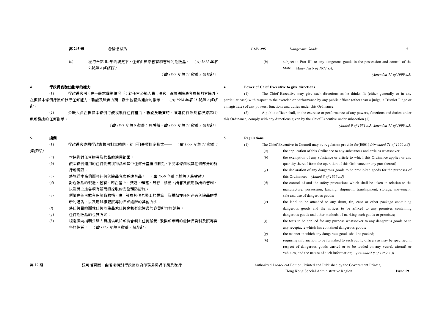(*b*) 在符合第 III 部的規定㆘,任何由國家管有和管制的危險品。 (由 *<sup>1971</sup>* 年第 *9* 號第 *<sup>4</sup>* 條修訂)

(由 *<sup>1999</sup>* 年第 *<sup>71</sup>* 號第 *<sup>3</sup>* 條修訂)

#### **4.**行政長官發出指示的權力

(1) 行政長官可(在㆒般或個別情況㆘)就任何公職㆟員(法官、區域法院法官或裁判官除外) 在根據本條例行使或執行任何權力、職能及職責方面,發出他認為適合的指示。 (由 *<sup>1998</sup>* 年第 *<sup>25</sup>* 號第 *<sup>2</sup>* 條修 訂)

(2) 公職㆟員在根據本條例行使或執行任何權力、職能及職責時,須遵從行政長官根據第(1) 款所發出的任何指示。

(由 *<sup>1971</sup>* 年第 *<sup>9</sup>* 號第 *<sup>5</sup>* 條增補。由 *<sup>1999</sup>* 年第 *<sup>71</sup>* 號第 *<sup>3</sup>* 條修訂)

#### **5.**規例

- (1) 行政長官會同行政會議可訂立規例,就㆘列事項訂定條文―― (由 *<sup>1999</sup>* 年第 *<sup>71</sup>* 號第 *<sup>3</sup>* 條修訂)
	- (*a*) 本條例對任何物質及物品的適用範圍;
	- (*b*) 使本條例適用的任何物質或物品或其㆗任何分量獲得豁免,不受本條例或其任何部分的施 行所規限;
	- (*c*) 為施行本條例而將任何危險品宣布為違禁品; (由 *<sup>1959</sup>* 年第 *<sup>8</sup>* 號第 *<sup>3</sup>* 條增補)
	- (*d*) 對危險品的製造、管有、卸在陸㆖、裝運、轉運、貯存、移動、出售及使用作出的管制, 以及與上述各項有關而須採取的安全預防措施;
	- (*e*) 須附在任何載有危險品的桶、罐、箱或其他包裝㆖的標籤,及張貼在任何存有危險品的處 所的通告,以及用以標記該等物品或處所的其他方法;
	- (*f*) 為任何目的而就任何危險品或任何曾載有危險品的容器所作的試驗;
	- (*g*) 任何危險品的包裝方式;
	- (*h*) 規定須向指明公職㆟員提供載於或將會裝㆖任何船隻、飛機或車輛的危險品資料及該等資 料的性質; (由 *<sup>1959</sup>* 年第 *<sup>8</sup>* 號第 *<sup>3</sup>* 條修訂)

#### 第 19 期 不到 的 認可活頁版,由香港特別行政區政府印務局局長印刷及發行 Authorized Loose-leaf Edition, Printed and Published by the Government Printer,

- 
- (*b*) subject to Part III, to any dangerous goods in the possession and control of the State. *(Amended 9 of 1971 s.4)*

*(Amended 71 of 1999 s.3)*

#### **4. Power of Chief Executive to give directions**

(1) The Chief Executive may give such directions as he thinks fit (either generally or in any particular case) with respect to the exercise or performance by any public officer (other than a judge, a District Judge or a magistrate) of any powers, functions and duties under this Ordinance.

(2) A public officer shall, in the exercise or performance of any powers, functions and duties under this Ordinance, comply with any directions given by the Chief Executive under subsection (1).

*(Added 9 of 1971 s.5. Amended 71 of 1999 s.3)*

#### **5. Regulations**

- (1) The Chief Executive in Council may by regulation provide for(E001) *(Amended 71 of 1999 s.3)*
	- (*a*) the application of this Ordinance to any substances and articles whatsoever;
	- (*b*) the exemption of any substance or article to which this Ordinance applies or any quantity thereof from the operation of this Ordinance or any part thereof;
	- (*c*) the declaration of any dangerous goods to be prohibited goods for the purposes of this Ordinance; *(Added 8 of 1959 s.3)*
	- (*d*) the control of and the safety precautions which shall be taken in relation to the manufacture, possession, landing, shipment, transhipment, storage, movement, sale and use of dangerous goods;
	- (*e*) the label to be attached to any drum, tin, case or other package containing dangerous goods and the notices to be affixed to any premises containing dangerous goods and other methods of marking such goods or premises;
	- (*f*) the tests to be applied for any purpose whatsoever to any dangerous goods or to any receptacle which has contained dangerous goods;
	- (*g*) the manner in which any dangerous goods shall be packed;
	- (*h*) requiring information to be furnished to such public officers as may be specified in respect of dangerous goods carried or to be loaded on any vessel, aircraft or vehicles, and the nature of such information; *(Amended 8 of 1959 s.3)*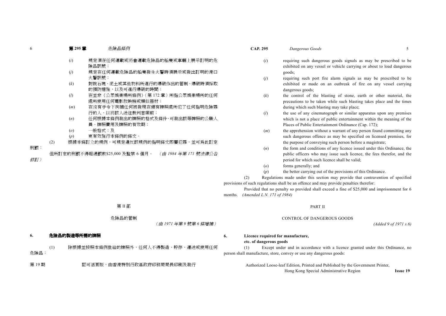| 6   | 第295章              | 危險品條例                                                |                      | <b>CAP. 295</b>            |                                                                                                                                                                                       | Dangerous Goods                                                                                                                               | 5 |  |
|-----|--------------------|------------------------------------------------------|----------------------|----------------------------|---------------------------------------------------------------------------------------------------------------------------------------------------------------------------------------|-----------------------------------------------------------------------------------------------------------------------------------------------|---|--|
|     | (i)                | 規定須在任何運載或將會運載危險品的船隻或車輛上展示訂明的危<br>險品訊號;               |                      |                            | (i)                                                                                                                                                                                   | requiring such dangerous goods signals as may be prescribed to be<br>exhibited on any vessel or vehicle carrying or about to load dangerous   |   |  |
|     | (i)                | 規定在任何運載危險品的船隻發生火警時須展示或發出訂明的港口                        |                      |                            |                                                                                                                                                                                       | goods;                                                                                                                                        |   |  |
|     | (k)                | 火警訊號;<br>對就石塊、泥土或其他物料所進行的爆破作出的管制、爆破時須採取              |                      |                            | (j)                                                                                                                                                                                   | requiring such port fire alarm signals as may be prescribed to be<br>exhibited or made on an outbreak of fire on any vessel carrying          |   |  |
|     |                    | 的預防措施,以及可進行爆破的時間;                                    |                      |                            |                                                                                                                                                                                       | dangerous goods;                                                                                                                              |   |  |
|     | (l)                | 在並非《公眾娛樂場所條例》(第172章)所指公眾娛樂場所的任何<br>處所使用任何電影放映機或類似器材; |                      |                            | (k)                                                                                                                                                                                   | the control of the blasting of stone, earth or other material, the<br>precautions to be taken while such blasting takes place and the times   |   |  |
|     | (m)                | 在沒有手令下拘捕任何被發現在領有牌照處所犯了任何指明危險罪                        |                      |                            |                                                                                                                                                                                       | during which such blasting may take place;                                                                                                    |   |  |
|     | (n)                | 行的人,以將該人送往裁判官席前;<br>任何根據本條例發出的牌照的格式及條件、可發出該等牌照的公職人   |                      |                            | (l)                                                                                                                                                                                   | the use of any cinematograph or similar apparatus upon any premises<br>which is not a place of public entertainment within the meaning of the |   |  |
|     |                    | 員、牌照費用及牌照的有效期;                                       |                      |                            |                                                                                                                                                                                       | Places of Public Entertainment Ordinance (Cap. 172);                                                                                          |   |  |
|     | $\left( o \right)$ | 一般格式;及                                               |                      |                            | (m)                                                                                                                                                                                   | the apprehension without a warrant of any person found committing any                                                                         |   |  |
|     | (p)                | 更有效施行本條例的條文。                                         |                      |                            |                                                                                                                                                                                       | such dangerous offence as may be specified on licensed premises, for                                                                          |   |  |
| 刑罰: | (2)                | 根據本條訂立的規例,可規定違反該規例的指明條文即屬犯罪,並可爲此訂定                   |                      |                            | (n)                                                                                                                                                                                   | the purpose of conveying such person before a magistrate;<br>the form and conditions of any licence issued under this Ordinance, the          |   |  |
|     |                    | 但所訂定的刑罰不得超過罰款\$25,000 及監禁 6 個月。                      | (由 1984 年第 171 號法律公告 |                            |                                                                                                                                                                                       | public officers who may issue such licence, the fees therefor, and the                                                                        |   |  |
| 修訂) |                    |                                                      |                      |                            |                                                                                                                                                                                       | period for which such licence shall be valid;                                                                                                 |   |  |
|     |                    |                                                      |                      |                            | $\left( o \right)$                                                                                                                                                                    | forms generally; and                                                                                                                          |   |  |
|     |                    |                                                      |                      |                            | (p)                                                                                                                                                                                   | the better carrying out of the provisions of this Ordinance.                                                                                  |   |  |
|     |                    |                                                      |                      | (2)                        |                                                                                                                                                                                       | Regulations made under this section may provide that contravention of specified                                                               |   |  |
|     |                    |                                                      |                      |                            | provisions of such regulations shall be an offence and may provide penalties therefor:<br>Provided that no penalty so provided shall exceed a fine of \$25,000 and imprisonment for 6 |                                                                                                                                               |   |  |
|     |                    |                                                      | months.              | (Amended L.N. 171 of 1984) |                                                                                                                                                                                       |                                                                                                                                               |   |  |
|     |                    |                                                      |                      |                            |                                                                                                                                                                                       |                                                                                                                                               |   |  |
|     |                    | 第II部                                                 |                      |                            |                                                                                                                                                                                       | <b>PART II</b>                                                                                                                                |   |  |

### 危險品的管制

(由 *<sup>1971</sup>* 年第 *<sup>9</sup>* 號第 *<sup>6</sup>* 條增補)

#### **6.**危險品的製造等所需的牌照

6

(1) 除根據並按照本條例批給的牌照外,任何㆟不得製造、貯存、運送或使用任何 危險品:

第 19 期 **20000 認可活頁版,由香港特別行政區政府印務局局長印刷及發行 2000** 2000 2000 2000 Authorized Loose-leaf Edition, Printed and Published by the Government Printer,

**6. Licence required for manufacture,**

#### **etc. of dangerous goods**

(1) Except under and in accordance with a licence granted under this Ordinance, no person shall manufacture, store, convey or use any dangerous goods:

CONTROL OF DANGEROUS GOODS

Hong Kong Special Administrative Region **Issue 19**

*(Added 9 of 1971 s.6)*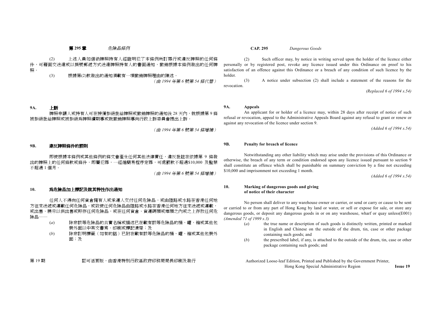(2) 上述人員如信納牌照持有人經證明犯了本條例所訂罪行或違反牌照的任何條 件,可藉面交送達成以掛號郵遞方式送達牌照持有人的書面通知,撤銷根據本條例發出的任何牌 照。

(3) 根據第(2)款發出的通知須載有㆒項撤銷牌照理由的陳述。 (由 *<sup>1994</sup>* 年第 *<sup>6</sup>* 號第 *<sup>54</sup>* 條代替)

#### **9A.**㆖訴

牌照申請人或持有人可在接獲拒絕批給牌照或撤銷牌照的通知後 28 天內,就根據第 9 條 被拒絕批給牌照或被拒絕為牌照續期事或就撤始牌照事向行政上訴委員會提出上訴。

(由 *<sup>1994</sup>* 年第 *<sup>6</sup>* 號第 *<sup>54</sup>* 條增補)

#### **9B.**違反牌照條件的罰則

即使根據本條例或其他條例的條文會產生任何其他法律責任,違反批註在依據第 <sup>9</sup> 條發 出的牌照㆖的任何條款或條件,即屬犯罪,㆒經循簡易程序定罪,可處罰款不超過\$10,000 及監禁 不超過 <sup>1</sup> 個月。

(由 *<sup>1994</sup>* 年第 *<sup>6</sup>* 號第 *<sup>54</sup>* 條增補)

#### **10.**為危險品加上標記及就其特性作出通知

任何人不得向任何貨倉擁有人或承運人交付任何危險品,或由陸路或水路在香港任何地 方往來送遞或運載任何危險品,或致使任何危險品由陸路或水路在香港任何地方往來送遞或運載, 或出售、展示以供出售或貯存任何危險品,或在任何貨倉、貨運碼頭或埠頭之內或之上存放任何危 險品――

- (*a*) 除非該等危險品的真實名稱或描述已在載有該等危險品的桶、罐、箱或其他包 裝外面以中英文書寫、印刷或標記清楚;及
- (*b*) 除非訂明標籤(如有的話)已附在載有該等危險品的桶、罐、箱或其他包裝外 面;及

第 <sup>19</sup> 期 認可活頁版,由香港特別行政區政府印務局局長印刷及發行 Authorized Loose-leaf Edition, Printed and Published by the Government Printer,

第 **<sup>295</sup>** 章 危險品條例 **CAP. 295** *Dangerous Goods*

(2) Such officer may, by notice in writing served upon the holder of the licence either personally or by registered post, revoke any licence issued under this Ordinance on proof to his satisfaction of an offence against this Ordinance or a breach of any condition of such licence by the holder.

(3) A notice under subsection (2) shall include a statement of the reasons for the revocation.

*(Replaced 6 of 1994 s.54)*

#### **9A. Appeals**

An applicant for or holder of a licence may, within 28 days after receipt of notice of such refusal or revocation, appeal to the Administrative Appeals Board against any refusal to grant or renew or against any revocation of the licence under section 9.

*(Added 6 of 1994 s.54)*

#### **9B. Penalty for breach of licence**

Notwithstanding any other liability which may arise under the provisions of this Ordinance or otherwise, the breach of any term or condition endorsed upon any licence issued pursuant to section 9 shall constitute an offence which shall be punishable on summary conviction by a fine not exceeding \$10,000 and imprisonment not exceeding 1 month.

*(Added 6 of 1994 s.54)*

#### **10. Marking of dangerous goods and giving of notice of their character**

No person shall deliver to any warehouse owner or carrier, or send or carry or cause to be sent or carried to or from any part of Hong Kong by land or water, or sell or expose for sale, or store any dangerous goods, or deposit any dangerous goods in or on any warehouse, wharf or quay unless(E001) *(Amended 71 of 1999 s.3)*

- (*a*) the true name or description of such goods is distinctly written, printed or marked in English and Chinese on the outside of the drum, tin, case or other package containing such goods; and
- (*b*) the prescribed label, if any, is attached to the outside of the drum, tin, case or other package containing such goods; and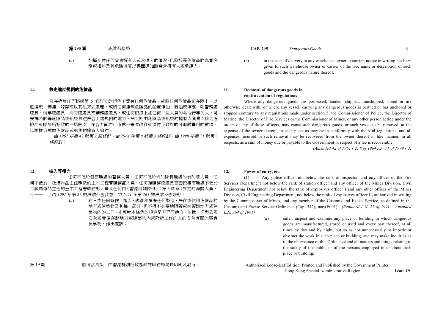#### (*c*) 如屬交付任何貨倉擁有㆟或承運㆟的情況,已將該等危險品的真實名 稱或描述及其危險性質以書面通知該貨倉擁有人或承運人。

#### **11.**移走違反規例的危險品

凡在違反任何根據第 5 條訂立的規例下管有任何危險品,或將任何危險品卸在陸上、以 船運載、轉運、貯存或以其他方式處理,或將任何運載危險品的船隻停泊、碇泊或停定,則警務處 處長、海事處處長、消防處是或礦務處處長,或任何根據上述任何一位人員的命令行事的人,可 安排將該等危險品或船隻移往符合上述規例的地方,開支則由危險品或船隻的擁有人負責;移走危 險品或船隻所招致的㆒切開支,在各方面均可作為㆒筆欠政府或須付予政府的可追討費用的款項, 以同樣方式向危險品或船隻的擁有人追討

> (由 *<sup>1961</sup>* 年第 *<sup>42</sup>* 號第 *<sup>2</sup>* 條修訂;由 *<sup>1964</sup>* 年第 *<sup>8</sup>* 號第 *<sup>5</sup>* 條修訂;由 *<sup>1999</sup>* 年第 *<sup>71</sup>* 號第 *<sup>3</sup>* 條修訂)

- 第 **<sup>295</sup>** 章 危險品條例 **CAP. 295** *Dangerous Goods* <sup>9</sup>
	- (*c*) in the case of delivery to any warehouse owner or carrier, notice in writing has been given to such warehouse owner or carrier of the true name or description of such goods and the dangerous nature thereof.

#### **11. Removal of dangerous goods in contravention of regulations**

Where any dangerous goods are possessed, landed, shipped, transhipped, stored or are otherwise dealt with, or where any vessel, carrying any dangerous goods is berthed or has anchored or stopped contrary to any regulations made under section 5, the Commissioner of Police, the Director of Marine, the Director of Fire Services or the Commissioner of Mines, or any other person acting under the orders of any of those officers, may cause such dangerous goods, or such vessel to be removed, at the expense of the owner thereof, to such place as may be in conformity with the said regulations, and all expenses incurred in such removal may be recovered from the owner thereof in like manner, in all respects, as a sum of money due or payable to the Government in respect of a fee is recoverable.

*(Amended 42 of 1961 s.2; 8 of 1964 s.5; 71 of 1999 s.3)*

#### **12.**進入等權力

(1) 仟何不低於督察職級的警務人員、仟何不低於消防隊長職級的消防處人員、仟 何不低於一級爆炸品主任職級的土木工程署礦務部人員、任何獲礦務處處長書面授權而職級不低於 二級爆炸品主任的土木工程署礦務部人員及任何由《香港海關條例》(第 342 章)界定的海關人員, 可―― (由 *<sup>1991</sup>* 年第 *<sup>27</sup>* 號法律公告代替。由 *<sup>1991</sup>* 年第 *<sup>364</sup>* 號法律公告修訂)

> (*a*) 在日夜任何時候,進入、視察和檢查任何製造、貯存或使用危險品的 地方或建築物及其每一部分,但不得不必要地阻礙或妨礙該地方或建 築物內的工作;亦可就本條例的規定是否已予遵守,並就一切與公眾 安全或受僱在該地方或建築物內或附近工作的人的安全有關的事官 及事物,作出查訊;

#### **12. Power of entry, etc.**

(1) Any police officer not below the rank of inspector, and any officer of the Fire Services Department not below the rank of station officer and any officer of the Mines Division, Civil Engineering Department not below the rank of explosives officer I and any other officer of the Mines Division, Civil Engineering Department, not below the rank of explosives officer II, authorized in writing by the Commissioner of Mines, and any member of the Customs and Excise Service, as defined in the Customs and Excise Service Ordinance (Cap. 342), may(E001) *(Replaced L.N. 27 of 1991. Amended L.N. 364 of 1991)*

> (*a*) enter, inspect and examine any place or building in which dangerous goods are manufactured, stored or used and every part thereof, at all times by day and by night, but so as not unnecessarily to impede or obstruct the work in such place or building, and may make inquiries as to the observance of this Ordinance and all matters and things relating to the safety of the public or of the persons employed in or about such place or building;

第 19 期 認可活頁版,由香港特別行政區政府印務局局長印刷及發行 Authorized Loose-leaf Edition, Printed and Published by the Government Printer,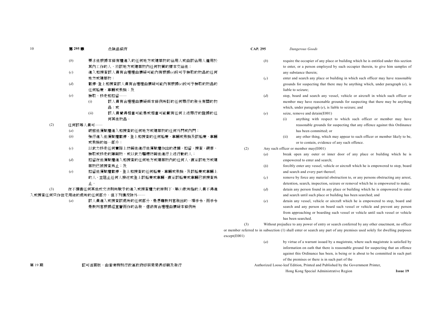- (*b*) 要求他根據本條有權進入的任何㆞方或建築物的佔用㆟或由該佔用㆟僱用於 其內工作的人,將該地方或建築物內任何物質的樣本交給他;
- (*c*) 進入和搜查該㆟員有合理理由懷疑可能內有根據(*e*)段可予檢取的物品的任何 地方或建築物;
- (*d*) 截停、登㆖和搜查該㆟員有合理理由懷疑可能內有根據(*e*)段可予檢取的物品的 任何船隻、車輛或飛機;及
- (*e*) 檢取、移走和扣留――
	- (i) 該㆟員有合理理由懷疑與本條例所訂的任何罪行的發生有關的物 品;或
	- (ii) 該㆟員覺得相當可能是或相當可能載有任何㆖述罪行的證據的任 何其他物品。

(2) 任何該等人員可——

- (*a*) 破啟他獲賦權進入和搜查的任何㆞方或建築物的任何外門或內門;
- (*b*) 強行進入他獲賦權截停、登㆖和搜查的任何船隻、車輛或飛機及該船隻、車輛 或飛機的每一部分;
- (*c*) 以武力移走任何實際㆖妨礙他進行他獲賦權作出的逮捕、扣留、搜查、視察、 檢取或移走的障礙物,或以武力驅趕妨礙他進行上述行動的人;
- (*d*) 扣留在他獲賦權進入和搜查的任何㆞方或建築物內的任何㆟,直至該㆞方或建 築物已被搜查為止;及
- (*e*) 扣留他獲賦權截停、登㆖和搜查的任何船隻、車輛或飛機,及該船隻或車輛㆖ 的人,並阻止任何人接近或登上該船隻或車輛,直至該船隻或車輛已被搜查為 止。

(3) 在不損害任何其他成文法則所賦予的進入或搜查權力的原則㆘,第(1)款所指的㆟員不得進 入或搜杳任何只作住宅用涂的處所的任何部分,但下列情況除外――

> (*a*) 該㆟員進入或搜查該處所的任何部分,是憑藉裁判官發出的㆒項手令,而手令 是裁判官根據經宣誓而作的告發,信納有合理理由懷疑本條例所

- 第 **<sup>295</sup>** 章 危險品條例 **CAP. 295** *Dangerous Goods*
	- (*b*) require the occupier of any place or building which he is entitled under this section to enter, or a person employed by such occupier therein, to give him samples of any substance therein;
	- (*c*) enter and search any place or building in which such officer may have reasonable grounds for suspecting that there may be anything which, under paragraph (*e*), is liable to seizure;
	- (*d*) stop, board and search any vessel, vehicle or aircraft in which such officer or member may have reasonable grounds for suspecting that there may be anything which, under paragraph (*e*), is liable to seizure; and
	- (*e*) seize, remove and detain(E001)
		- (i) anything with respect to which such officer or member may have reasonable grounds for suspecting that any offence against this Ordinance has been committed; or
		- (ii) any other thing, which may appear to such officer or member likely to be, or to contain, evidence of any such offence.
	- (2) Any such officer or member may(E001)
		- (*a*) break open any outer or inner door of any place or building which he is empowered to enter and search;
		- (*b*) forcibly enter any vessel, vehicle or aircraft which he is empowered to stop, board and search and every part thereof;
		- (*c*) remove by force any material obstruction to, or any persons obstructing any arrest, detention, search, inspection, seizure or removal which he is empowered to make;
		- (*d*) detain any person found in any place or building which he is empowered to enter and search until such place or building has been searched; and
		- (*e*) detain any vessel, vehicle or aircraft which he is empowered to stop, board and search and any person on board such vessel or vehicle and prevent any person from approaching or boarding such vessel or vehicle until such vessel or vehicle has been searched.

(3) Without prejudice to any power of entry or search conferred by any other enactment, no officer or member referred to in subsection (1) shall enter or search any part of any premises used solely for dwelling purposes except(E001)

- (*a*) by virtue of a warrant issued by a magistrate, where such magistrate is satisfied by information on oath that there is reasonable ground for suspecting that an offence against this Ordinance has been, is being or is about to be committed in such part of the premises or there is in such part of the
- 第 19 期 不到 的 認可活頁版,由香港特別行政區政府印務局局長印刷及發行 Authorized Loose-leaf Edition, Printed and Published by the Government Printer,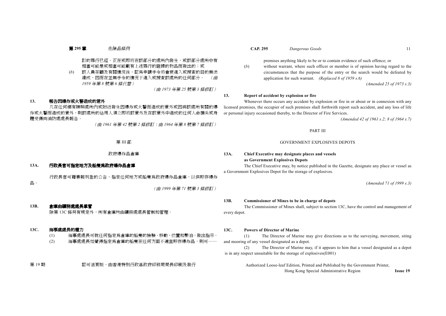訂的罪行已經、正在或即將在該部分的處所內發生,或該部分處所中有 相當可能是或相當可能載有上述罪行的證據的物品而發出的;或

(*b*) 該㆟員在顧及有關情況後,認為申請手令將會使進入或搜查的目的無法 達成,因而在並無手令的情況下進入或搜查該處所的任何部分。 (由 *1959* 年第 *<sup>8</sup>* 號第 *<sup>6</sup>* 條代替)

(由 *<sup>1973</sup>* 年第 *<sup>25</sup>* 號第 *<sup>3</sup>* 條修訂)

#### **13.**報告因爆炸或火警造成的意外

凡在任何領有牌照處所內或附近發生因爆炸或火警而造成的意外或因與該處所有關的爆 炸或火警而造成的意外,則該處所的佔用人須立即將該意外及在該意外中造成的任何人命損失或身 體受傷向消防處處長報告。

(由 *<sup>1961</sup>* 年第 *<sup>42</sup>* 號第 *<sup>2</sup>* 條修訂;由 *<sup>1964</sup>* 年第 *<sup>8</sup>* 號第 *<sup>7</sup>* 條修訂)

政府爆炸品倉庫

#### **13A.**行政長官可指定㆞方及船隻為政府爆炸品倉庫

品。

行政長官可藉憲報刊登的公告,指定任何地方或船隻為政府爆炸品倉庫,以供貯存爆炸

(由 *<sup>1999</sup>* 年第 *<sup>71</sup>* 號第 *<sup>3</sup>* 條修訂)

#### **13B.**倉庫由礦務處處長掌管

除第 13C 條另有規定外,所有倉庫均由礦務處處長管制和管理。

#### **13C.**海事處處長的權力

- (1) 海事處處長可就任何指定為倉庫的船隻的檢驗、移動、位置和繫泊,發出指示。
- (2) 海事處處長如覺得指定為倉庫的船隻在任何方面不適宜貯存爆炸品,則可-

第 19 期 認可活頁版,由香港特別行政區政府印務局局長印刷及發行 Authorized Loose-leaf Edition, Printed and Published by the Government Printer,

#### 第 **<sup>295</sup>** 章 危險品條例 **CAP. 295** *Dangerous Goods* <sup>11</sup>

premises anything likely to be or to contain evidence of such offence; or

(*b*) without warrant, where such officer or member is of opinion having regard to the circumstances that the purpose of the entry or the search would be defeated by application for such warrant. *(Replaced 8 of 1959 s.6)*

*(Amended 25 of 1973 s.3)*

#### **13. Report of accident by explosion or fire**

Whenever there occurs any accident by explosion or fire in or about or in connexion with any licensed premises, the occupier of such premises shall forthwith report such accident, and any loss of life or personal injury occasioned thereby, to the Director of Fire Services.

*(Amended 42 of 1961 s.2; 8 of 1964 s.7)*

PART III

#### GOVERNMENT EXPLOSIVES DEPOTS

### **13A. Chief Executive may designate places and vessels as Government Explosives Depots**

The Chief Executive may, by notice published in the Gazette, designate any place or vessel as a Government Explosives Depot for the storage of explosives.

*(Amended 71 of 1999 s.3)*

#### **13B. Commissioner of Mines to be in charge of depots**

The Commissioner of Mines shall, subject to section 13C, have the control and management of every depot.

#### **13C. Powers of Director of Marine**

(1) The Director of Marine may give directions as to the surveying, movement, siting and mooring of any vessel designated as a depot.

(2) The Director of Marine may, if it appears to him that a vessel designated as a depot is in any respect unsuitable for the storage of explosives(E001)

Hong Kong Special Administrative Region **Issue 19**

第 III 部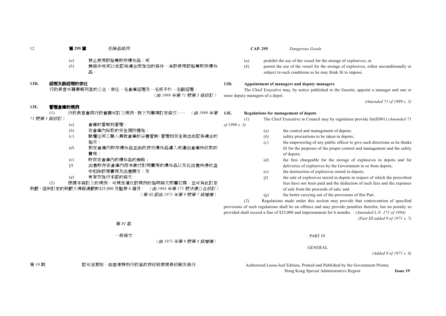- (*a*) 禁止使用該船隻貯存爆炸品;或
- (*b*) 無條件㆞或以他認為適合而施加的條件,准許使用該船隻貯存爆炸 品。

#### **13D.**經理及副經理的委任

行政長官可藉憲報刊登的公告,委任一名倉庫經理及一名或多於一名副經理。 (由 *<sup>1999</sup>* 年第 *<sup>71</sup>* 號第 *<sup>3</sup>* 條修訂)

#### **13E.**管理倉庫的規例

(1) 行政長官會同行政會議可訂立規例,就㆘列事項訂定條文―― (由 *<sup>1999</sup>* 年第 *71* 號第 *<sup>3</sup>* 條修訂)

- (*a*) 倉庫的管制和管理; (*b*) 在倉庫內採取的安全預防措施;
- (*c*) 賦權任何公職㆟員就倉庫的妥善管制、管理和安全發出他認為適合的 指示;
- (*d*) 對在倉庫內貯存爆炸品並由政府將爆炸品運入或運出倉庫所收取的 費用;
- (*e*) 貯存在倉庫內的爆炸品的銷毀;
- (*f*) 出售貯存在倉庫內而未繳付訂明費用的爆炸品以及從出售所得收益 ㆗扣除該等費用及出售開支;及
- (*g*) 更有效施行本部的條文。

(2) 根據本條訂立的規例,可規定違反該規例的指明條文即屬犯罪,並可為此訂定 刑罰,但所訂定的刑罰不得超過罰款\$25,000 及監禁 <sup>6</sup> 個月。 (由 *<sup>1984</sup>* 年第 *<sup>171</sup>* 號法律公告修訂) (第 *III* 部由 *<sup>1971</sup>* 年第 *<sup>9</sup>* 號第 *<sup>7</sup>* 條增補)

第 **<sup>295</sup>** 章 危險品條例 **CAP. 295** *Dangerous Goods*

- (*a*) prohibit the use of the vessel for the storage of explosives; or
- (*b*) permit the use of the vessel for the storage of explosives, either unconditionally or subject to such conditions as he may think fit to impose.

#### **13D. Appointment of managers and deputy managers**

The Chief Executive may, by notice published in the Gazette, appoint a manager and one or more deputy managers of a depot.

*(Amended 71 of 1999 s. 3)*

#### **13E. Regulations for management of depots**

*of 1999 s. 3)*

- (1) The Chief Executive in Council may by regulation provide for(E001) *(Amended 71*
	- (*a*) the control and management of depots;
	- (*b*) safety precautions to be taken in depots;
	- (*c*) the empowering of any public officer to give such directions as he thinks fit for the purposes of the proper control and management and the safety of depots;
	- (*d*) the fees chargeable for the storage of explosives in depots and for deliveries of explosives by the Government to or from depots;
	- (*e*) the destruction of explosives stored in depots;
	- (*f*) the sale of explosives stored in depots in respect of which the prescribed fees have not been paid and the deduction of such fees and the expenses of sale from the proceeds of sale; and
	- (*g*) the better carrying out of the provisions of this Part.

(2) Regulations made under this section may provide that contravention of specified provisions of such regulations shall be an offence and may provide penalties therefor, but no penalty so provided shall exceed a fine of \$25,000 and imprisonment for 6 months. *(Amended L.N. 171 of 1984) (Part III added 9 of 1971 s. 7)*

PART IV

GENERAL

第 IV 部

㆒般條文

(由 *<sup>1971</sup>* 年第 *<sup>9</sup>* 號第 *<sup>8</sup>* 條增補)

*(Added 9 of 1971 s. 8)*

第 <sup>19</sup> 期 認可活頁版,由香港特別行政區政府印務局局長印刷及發行 Authorized Loose-leaf Edition, Printed and Published by the Government Printer,